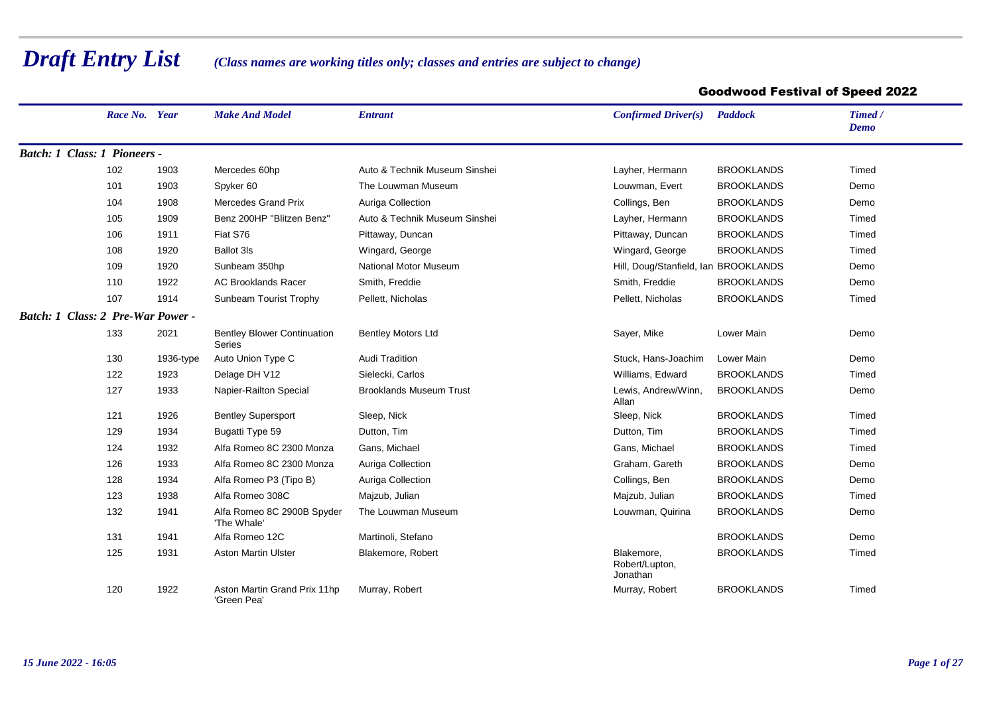## *Draft Entry List*

## *(Class names are working titles only; classes and entries are subject to change)*

## Goodwood Festival of Speed 2022

|                                          | Race No. Year |           | <b>Make And Model</b>                               | <b>Entrant</b>                 | Confirmed Driver(s)                      | <b>Paddock</b>    | Timed /<br><b>Demo</b> |
|------------------------------------------|---------------|-----------|-----------------------------------------------------|--------------------------------|------------------------------------------|-------------------|------------------------|
| Batch: 1 Class: 1 Pioneers -             |               |           |                                                     |                                |                                          |                   |                        |
|                                          | 102           | 1903      | Mercedes 60hp                                       | Auto & Technik Museum Sinshei  | Layher, Hermann                          | <b>BROOKLANDS</b> | Timed                  |
|                                          | 101           | 1903      | Spyker 60                                           | The Louwman Museum             | Louwman, Evert                           | <b>BROOKLANDS</b> | Demo                   |
|                                          | 104           | 1908      | Mercedes Grand Prix                                 | Auriga Collection              | Collings, Ben                            | <b>BROOKLANDS</b> | Demo                   |
|                                          | 105           | 1909      | Benz 200HP "Blitzen Benz"                           | Auto & Technik Museum Sinshei  | Layher, Hermann                          | <b>BROOKLANDS</b> | Timed                  |
|                                          | 106           | 1911      | Fiat S76                                            | Pittaway, Duncan               | Pittaway, Duncan                         | <b>BROOKLANDS</b> | Timed                  |
|                                          | 108           | 1920      | <b>Ballot 3ls</b>                                   | Wingard, George                | Wingard, George                          | <b>BROOKLANDS</b> | Timed                  |
|                                          | 109           | 1920      | Sunbeam 350hp                                       | <b>National Motor Museum</b>   | Hill, Doug/Stanfield, Ian BROOKLANDS     |                   | Demo                   |
|                                          | 110           | 1922      | <b>AC Brooklands Racer</b>                          | Smith, Freddie                 | Smith, Freddie                           | <b>BROOKLANDS</b> | Demo                   |
|                                          | 107           | 1914      | Sunbeam Tourist Trophy                              | Pellett, Nicholas              | Pellett, Nicholas                        | <b>BROOKLANDS</b> | Timed                  |
| <b>Batch: 1 Class: 2 Pre-War Power -</b> |               |           |                                                     |                                |                                          |                   |                        |
|                                          | 133           | 2021      | <b>Bentley Blower Continuation</b><br><b>Series</b> | <b>Bentley Motors Ltd</b>      | Sayer, Mike                              | Lower Main        | Demo                   |
|                                          | 130           | 1936-type | Auto Union Type C                                   | <b>Audi Tradition</b>          | Stuck, Hans-Joachim                      | Lower Main        | Demo                   |
|                                          | 122           | 1923      | Delage DH V12                                       | Sielecki, Carlos               | Williams, Edward                         | <b>BROOKLANDS</b> | Timed                  |
|                                          | 127           | 1933      | Napier-Railton Special                              | <b>Brooklands Museum Trust</b> | Lewis, Andrew/Winn,<br>Allan             | <b>BROOKLANDS</b> | Demo                   |
|                                          | 121           | 1926      | <b>Bentley Supersport</b>                           | Sleep, Nick                    | Sleep, Nick                              | <b>BROOKLANDS</b> | Timed                  |
|                                          | 129           | 1934      | Bugatti Type 59                                     | Dutton, Tim                    | Dutton, Tim                              | <b>BROOKLANDS</b> | Timed                  |
|                                          | 124           | 1932      | Alfa Romeo 8C 2300 Monza                            | Gans, Michael                  | Gans, Michael                            | <b>BROOKLANDS</b> | Timed                  |
|                                          | 126           | 1933      | Alfa Romeo 8C 2300 Monza                            | Auriga Collection              | Graham, Gareth                           | <b>BROOKLANDS</b> | Demo                   |
|                                          | 128           | 1934      | Alfa Romeo P3 (Tipo B)                              | Auriga Collection              | Collings, Ben                            | <b>BROOKLANDS</b> | Demo                   |
|                                          | 123           | 1938      | Alfa Romeo 308C                                     | Majzub, Julian                 | Majzub, Julian                           | <b>BROOKLANDS</b> | Timed                  |
|                                          | 132           | 1941      | Alfa Romeo 8C 2900B Spyder<br>'The Whale'           | The Louwman Museum             | Louwman, Quirina                         | <b>BROOKLANDS</b> | Demo                   |
|                                          | 131           | 1941      | Alfa Romeo 12C                                      | Martinoli, Stefano             |                                          | <b>BROOKLANDS</b> | Demo                   |
|                                          | 125           | 1931      | <b>Aston Martin Ulster</b>                          | Blakemore, Robert              | Blakemore,<br>Robert/Lupton,<br>Jonathan | <b>BROOKLANDS</b> | Timed                  |
|                                          | 120           | 1922      | Aston Martin Grand Prix 11hp<br>'Green Pea'         | Murray, Robert                 | Murray, Robert                           | <b>BROOKLANDS</b> | Timed                  |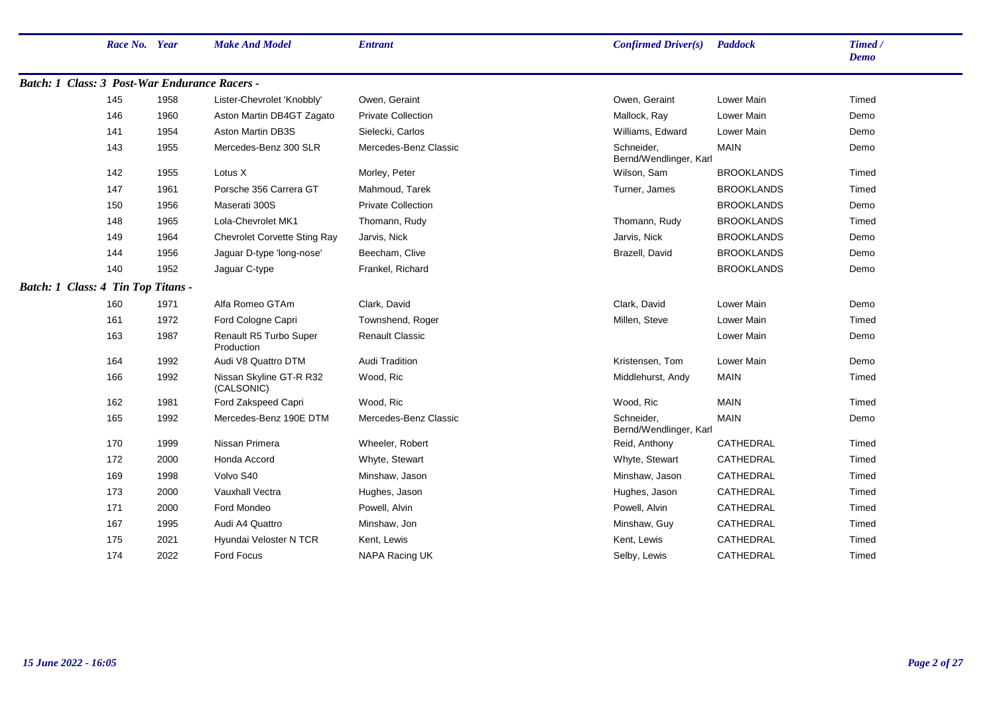| Race No. Year                                 |      | <b>Make And Model</b>                 | <b>Entrant</b>            | Confirmed Driver(s)                  | <b>Paddock</b>    | Timed /<br><b>Demo</b> |
|-----------------------------------------------|------|---------------------------------------|---------------------------|--------------------------------------|-------------------|------------------------|
| Batch: 1 Class: 3 Post-War Endurance Racers - |      |                                       |                           |                                      |                   |                        |
| 145                                           | 1958 | Lister-Chevrolet 'Knobbly'            | Owen, Geraint             | Owen, Geraint                        | Lower Main        | Timed                  |
| 146                                           | 1960 | Aston Martin DB4GT Zagato             | <b>Private Collection</b> | Mallock, Ray                         | Lower Main        | Demo                   |
| 141                                           | 1954 | <b>Aston Martin DB3S</b>              | Sielecki, Carlos          | Williams, Edward                     | Lower Main        | Demo                   |
| 143                                           | 1955 | Mercedes-Benz 300 SLR                 | Mercedes-Benz Classic     | Schneider,<br>Bernd/Wendlinger, Karl | <b>MAIN</b>       | Demo                   |
| 142                                           | 1955 | Lotus X                               | Morley, Peter             | Wilson, Sam                          | <b>BROOKLANDS</b> | Timed                  |
| 147                                           | 1961 | Porsche 356 Carrera GT                | Mahmoud, Tarek            | Turner, James                        | <b>BROOKLANDS</b> | Timed                  |
| 150                                           | 1956 | Maserati 300S                         | <b>Private Collection</b> |                                      | <b>BROOKLANDS</b> | Demo                   |
| 148                                           | 1965 | Lola-Chevrolet MK1                    | Thomann, Rudy             | Thomann, Rudy                        | <b>BROOKLANDS</b> | Timed                  |
| 149                                           | 1964 | <b>Chevrolet Corvette Sting Ray</b>   | Jarvis, Nick              | Jarvis, Nick                         | <b>BROOKLANDS</b> | Demo                   |
| 144                                           | 1956 | Jaguar D-type 'long-nose'             | Beecham, Clive            | Brazell, David                       | <b>BROOKLANDS</b> | Demo                   |
| 140                                           | 1952 | Jaguar C-type                         | Frankel, Richard          |                                      | <b>BROOKLANDS</b> | Demo                   |
| Batch: 1 Class: 4 Tin Top Titans -            |      |                                       |                           |                                      |                   |                        |
| 160                                           | 1971 | Alfa Romeo GTAm                       | Clark, David              | Clark, David                         | Lower Main        | Demo                   |
| 161                                           | 1972 | Ford Cologne Capri                    | Townshend, Roger          | Millen, Steve                        | Lower Main        | Timed                  |
| 163                                           | 1987 | Renault R5 Turbo Super<br>Production  | <b>Renault Classic</b>    |                                      | Lower Main        | Demo                   |
| 164                                           | 1992 | Audi V8 Quattro DTM                   | <b>Audi Tradition</b>     | Kristensen, Tom                      | Lower Main        | Demo                   |
| 166                                           | 1992 | Nissan Skyline GT-R R32<br>(CALSONIC) | Wood, Ric                 | Middlehurst, Andy                    | <b>MAIN</b>       | Timed                  |
| 162                                           | 1981 | Ford Zakspeed Capri                   | Wood, Ric                 | Wood, Ric                            | <b>MAIN</b>       | Timed                  |
| 165                                           | 1992 | Mercedes-Benz 190E DTM                | Mercedes-Benz Classic     | Schneider,<br>Bernd/Wendlinger, Karl | <b>MAIN</b>       | Demo                   |
| 170                                           | 1999 | Nissan Primera                        | Wheeler, Robert           | Reid, Anthony                        | CATHEDRAL         | Timed                  |
| 172                                           | 2000 | Honda Accord                          | Whyte, Stewart            | Whyte, Stewart                       | CATHEDRAL         | Timed                  |
| 169                                           | 1998 | Volvo S40                             | Minshaw, Jason            | Minshaw, Jason                       | CATHEDRAL         | Timed                  |
| 173                                           | 2000 | Vauxhall Vectra                       | Hughes, Jason             | Hughes, Jason                        | CATHEDRAL         | Timed                  |
| 171                                           | 2000 | Ford Mondeo                           | Powell, Alvin             | Powell, Alvin                        | CATHEDRAL         | Timed                  |
| 167                                           | 1995 | Audi A4 Quattro                       | Minshaw, Jon              | Minshaw, Guy                         | CATHEDRAL         | Timed                  |
| 175                                           | 2021 | Hyundai Veloster N TCR                | Kent, Lewis               | Kent, Lewis                          | CATHEDRAL         | Timed                  |
| 174                                           | 2022 | Ford Focus                            | NAPA Racing UK            | Selby, Lewis                         | CATHEDRAL         | Timed                  |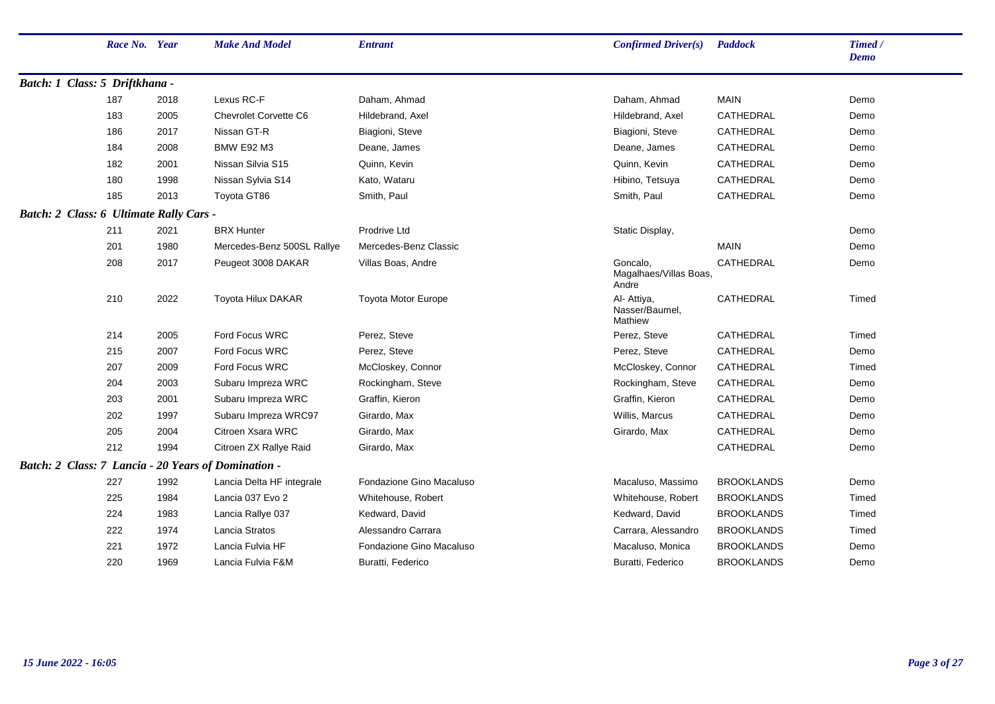|                                                     | Race No. Year |      | <b>Make And Model</b>        | <b>Entrant</b>           | Confirmed Driver(s)                         | <b>Paddock</b>    | Timed /<br>Demo |
|-----------------------------------------------------|---------------|------|------------------------------|--------------------------|---------------------------------------------|-------------------|-----------------|
| Batch: 1 Class: 5 Driftkhana -                      |               |      |                              |                          |                                             |                   |                 |
|                                                     | 187           | 2018 | Lexus RC-F                   | Daham, Ahmad             | Daham, Ahmad                                | <b>MAIN</b>       | Demo            |
|                                                     | 183           | 2005 | <b>Chevrolet Corvette C6</b> | Hildebrand, Axel         | Hildebrand, Axel                            | CATHEDRAL         | Demo            |
|                                                     | 186           | 2017 | Nissan GT-R                  | Biagioni, Steve          | Biagioni, Steve                             | CATHEDRAL         | Demo            |
|                                                     | 184           | 2008 | <b>BMW E92 M3</b>            | Deane, James             | Deane, James                                | CATHEDRAL         | Demo            |
|                                                     | 182           | 2001 | Nissan Silvia S15            | Quinn, Kevin             | Quinn, Kevin                                | CATHEDRAL         | Demo            |
|                                                     | 180           | 1998 | Nissan Sylvia S14            | Kato, Wataru             | Hibino, Tetsuya                             | CATHEDRAL         | Demo            |
|                                                     | 185           | 2013 | Toyota GT86                  | Smith, Paul              | Smith, Paul                                 | CATHEDRAL         | Demo            |
| Batch: 2 Class: 6 Ultimate Rally Cars -             |               |      |                              |                          |                                             |                   |                 |
|                                                     | 211           | 2021 | <b>BRX Hunter</b>            | Prodrive Ltd             | Static Display,                             |                   | Demo            |
|                                                     | 201           | 1980 | Mercedes-Benz 500SL Rallye   | Mercedes-Benz Classic    |                                             | <b>MAIN</b>       | Demo            |
|                                                     | 208           | 2017 | Peugeot 3008 DAKAR           | Villas Boas, Andre       | Goncalo,<br>Magalhaes/Villas Boas,<br>Andre | CATHEDRAL         | Demo            |
|                                                     | 210           | 2022 | Toyota Hilux DAKAR           | Toyota Motor Europe      | Al- Attiya,<br>Nasser/Baumel,<br>Mathiew    | CATHEDRAL         | Timed           |
|                                                     | 214           | 2005 | Ford Focus WRC               | Perez, Steve             | Perez, Steve                                | CATHEDRAL         | Timed           |
|                                                     | 215           | 2007 | Ford Focus WRC               | Perez, Steve             | Perez, Steve                                | CATHEDRAL         | Demo            |
|                                                     | 207           | 2009 | Ford Focus WRC               | McCloskey, Connor        | McCloskey, Connor                           | CATHEDRAL         | Timed           |
|                                                     | 204           | 2003 | Subaru Impreza WRC           | Rockingham, Steve        | Rockingham, Steve                           | CATHEDRAL         | Demo            |
|                                                     | 203           | 2001 | Subaru Impreza WRC           | Graffin, Kieron          | Graffin, Kieron                             | <b>CATHEDRAL</b>  | Demo            |
|                                                     | 202           | 1997 | Subaru Impreza WRC97         | Girardo, Max             | Willis, Marcus                              | CATHEDRAL         | Demo            |
|                                                     | 205           | 2004 | Citroen Xsara WRC            | Girardo, Max             | Girardo, Max                                | CATHEDRAL         | Demo            |
|                                                     | 212           | 1994 | Citroen ZX Rallye Raid       | Girardo, Max             |                                             | CATHEDRAL         | Demo            |
| Batch: 2 Class: 7 Lancia - 20 Years of Domination - |               |      |                              |                          |                                             |                   |                 |
|                                                     | 227           | 1992 | Lancia Delta HF integrale    | Fondazione Gino Macaluso | Macaluso, Massimo                           | <b>BROOKLANDS</b> | Demo            |
|                                                     | 225           | 1984 | Lancia 037 Evo 2             | Whitehouse, Robert       | Whitehouse, Robert                          | <b>BROOKLANDS</b> | Timed           |
|                                                     | 224           | 1983 | Lancia Rallye 037            | Kedward, David           | Kedward, David                              | <b>BROOKLANDS</b> | Timed           |
|                                                     | 222           | 1974 | Lancia Stratos               | Alessandro Carrara       | Carrara, Alessandro                         | <b>BROOKLANDS</b> | Timed           |
|                                                     | 221           | 1972 | Lancia Fulvia HF             | Fondazione Gino Macaluso | Macaluso, Monica                            | <b>BROOKLANDS</b> | Demo            |
|                                                     | 220           | 1969 | Lancia Fulvia F&M            | Buratti, Federico        | Buratti, Federico                           | <b>BROOKLANDS</b> | Demo            |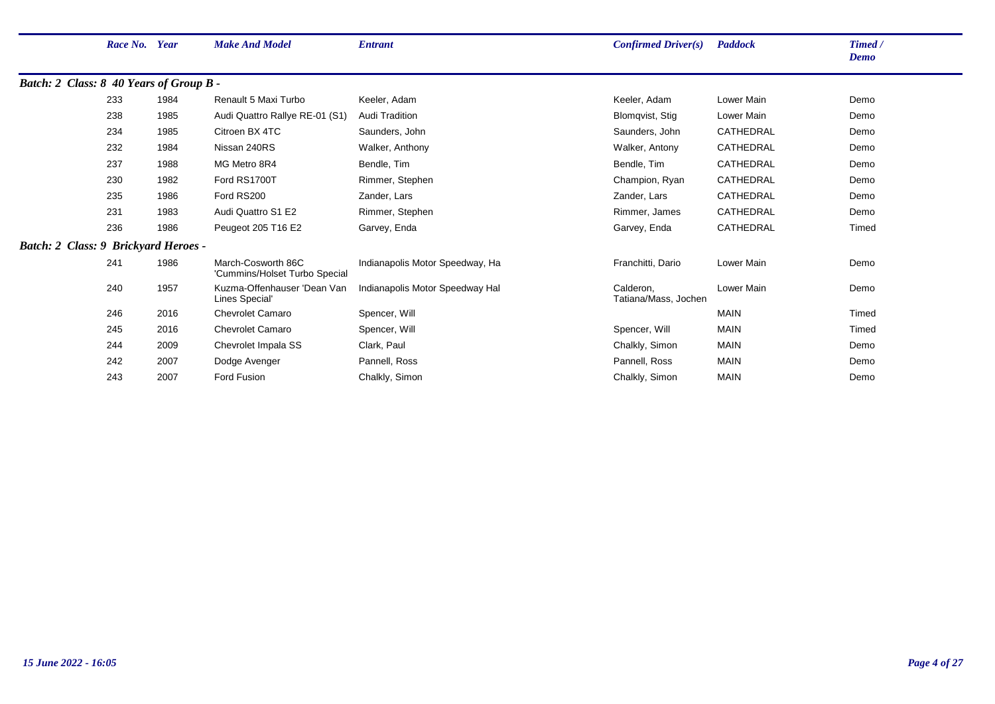|                                             | Race No. Year |      | <b>Make And Model</b>                               | <b>Entrant</b>                  | Confirmed Driver(s)               | <b>Paddock</b> | Timed /<br><b>Demo</b> |
|---------------------------------------------|---------------|------|-----------------------------------------------------|---------------------------------|-----------------------------------|----------------|------------------------|
| Batch: 2 Class: 8 40 Years of Group B -     |               |      |                                                     |                                 |                                   |                |                        |
|                                             | 233           | 1984 | Renault 5 Maxi Turbo                                | Keeler, Adam                    | Keeler, Adam                      | Lower Main     | Demo                   |
|                                             | 238           | 1985 | Audi Quattro Rallye RE-01 (S1)                      | <b>Audi Tradition</b>           | Blomqvist, Stig                   | Lower Main     | Demo                   |
|                                             | 234           | 1985 | Citroen BX 4TC                                      | Saunders, John                  | Saunders, John                    | CATHEDRAL      | Demo                   |
|                                             | 232           | 1984 | Nissan 240RS                                        | Walker, Anthony                 | Walker, Antony                    | CATHEDRAL      | Demo                   |
|                                             | 237           | 1988 | MG Metro 8R4                                        | Bendle, Tim                     | Bendle, Tim                       | CATHEDRAL      | Demo                   |
|                                             | 230           | 1982 | Ford RS1700T                                        | Rimmer, Stephen                 | Champion, Ryan                    | CATHEDRAL      | Demo                   |
|                                             | 235           | 1986 | Ford RS200                                          | Zander, Lars                    | Zander, Lars                      | CATHEDRAL      | Demo                   |
|                                             | 231           | 1983 | Audi Quattro S1 E2                                  | Rimmer, Stephen                 | Rimmer, James                     | CATHEDRAL      | Demo                   |
|                                             | 236           | 1986 | Peugeot 205 T16 E2                                  | Garvey, Enda                    | Garvey, Enda                      | CATHEDRAL      | Timed                  |
| <b>Batch: 2 Class: 9 Brickyard Heroes -</b> |               |      |                                                     |                                 |                                   |                |                        |
|                                             | 241           | 1986 | March-Cosworth 86C<br>'Cummins/Holset Turbo Special | Indianapolis Motor Speedway, Ha | Franchitti, Dario                 | Lower Main     | Demo                   |
|                                             | 240           | 1957 | Kuzma-Offenhauser 'Dean Van<br>Lines Special'       | Indianapolis Motor Speedway Hal | Calderon.<br>Tatiana/Mass, Jochen | Lower Main     | Demo                   |
|                                             | 246           | 2016 | <b>Chevrolet Camaro</b>                             | Spencer, Will                   |                                   | <b>MAIN</b>    | Timed                  |
|                                             | 245           | 2016 | Chevrolet Camaro                                    | Spencer, Will                   | Spencer, Will                     | <b>MAIN</b>    | Timed                  |
|                                             | 244           | 2009 | Chevrolet Impala SS                                 | Clark, Paul                     | Chalkly, Simon                    | <b>MAIN</b>    | Demo                   |
|                                             | 242           | 2007 | Dodge Avenger                                       | Pannell, Ross                   | Pannell, Ross                     | <b>MAIN</b>    | Demo                   |
|                                             | 243           | 2007 | Ford Fusion                                         | Chalkly, Simon                  | Chalkly, Simon                    | <b>MAIN</b>    | Demo                   |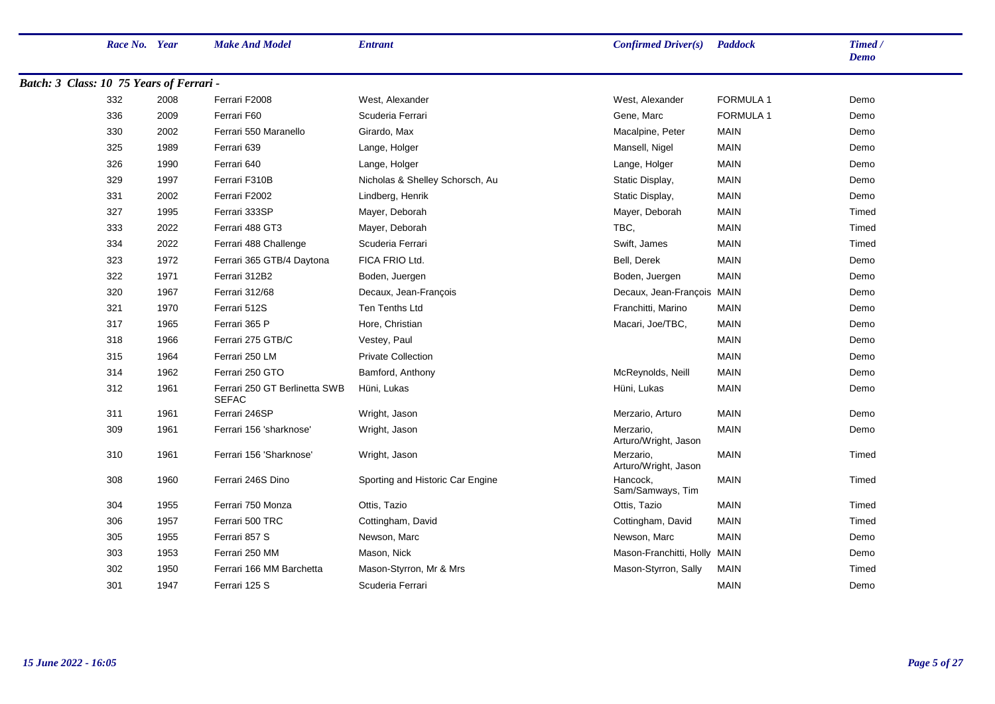|                                          | Race No. Year |      | <b>Make And Model</b>                         | <b>Entrant</b>                   | Confirmed Driver(s)               | <b>Paddock</b>   | Timed /<br><b>Demo</b> |
|------------------------------------------|---------------|------|-----------------------------------------------|----------------------------------|-----------------------------------|------------------|------------------------|
| Batch: 3 Class: 10 75 Years of Ferrari - |               |      |                                               |                                  |                                   |                  |                        |
|                                          | 332           | 2008 | Ferrari F2008                                 | West, Alexander                  | West, Alexander                   | <b>FORMULA 1</b> | Demo                   |
|                                          | 336           | 2009 | Ferrari F60                                   | Scuderia Ferrari                 | Gene, Marc                        | <b>FORMULA 1</b> | Demo                   |
|                                          | 330           | 2002 | Ferrari 550 Maranello                         | Girardo, Max                     | Macalpine, Peter                  | <b>MAIN</b>      | Demo                   |
|                                          | 325           | 1989 | Ferrari 639                                   | Lange, Holger                    | Mansell, Nigel                    | <b>MAIN</b>      | Demo                   |
|                                          | 326           | 1990 | Ferrari 640                                   | Lange, Holger                    | Lange, Holger                     | <b>MAIN</b>      | Demo                   |
|                                          | 329           | 1997 | Ferrari F310B                                 | Nicholas & Shelley Schorsch, Au  | Static Display,                   | <b>MAIN</b>      | Demo                   |
|                                          | 331           | 2002 | Ferrari F2002                                 | Lindberg, Henrik                 | Static Display,                   | <b>MAIN</b>      | Demo                   |
|                                          | 327           | 1995 | Ferrari 333SP                                 | Mayer, Deborah                   | Mayer, Deborah                    | <b>MAIN</b>      | Timed                  |
|                                          | 333           | 2022 | Ferrari 488 GT3                               | Mayer, Deborah                   | TBC,                              | <b>MAIN</b>      | Timed                  |
|                                          | 334           | 2022 | Ferrari 488 Challenge                         | Scuderia Ferrari                 | Swift, James                      | <b>MAIN</b>      | Timed                  |
|                                          | 323           | 1972 | Ferrari 365 GTB/4 Daytona                     | FICA FRIO Ltd.                   | Bell, Derek                       | <b>MAIN</b>      | Demo                   |
|                                          | 322           | 1971 | Ferrari 312B2                                 | Boden, Juergen                   | Boden, Juergen                    | <b>MAIN</b>      | Demo                   |
|                                          | 320           | 1967 | <b>Ferrari 312/68</b>                         | Decaux, Jean-François            | Decaux, Jean-François MAIN        |                  | Demo                   |
|                                          | 321           | 1970 | Ferrari 512S                                  | Ten Tenths Ltd                   | Franchitti, Marino                | <b>MAIN</b>      | Demo                   |
|                                          | 317           | 1965 | Ferrari 365 P                                 | Hore, Christian                  | Macari, Joe/TBC,                  | <b>MAIN</b>      | Demo                   |
|                                          | 318           | 1966 | Ferrari 275 GTB/C                             | Vestey, Paul                     |                                   | <b>MAIN</b>      | Demo                   |
|                                          | 315           | 1964 | Ferrari 250 LM                                | <b>Private Collection</b>        |                                   | <b>MAIN</b>      | Demo                   |
|                                          | 314           | 1962 | Ferrari 250 GTO                               | Bamford, Anthony                 | McReynolds, Neill                 | <b>MAIN</b>      | Demo                   |
|                                          | 312           | 1961 | Ferrari 250 GT Berlinetta SWB<br><b>SEFAC</b> | Hüni, Lukas                      | Hüni, Lukas                       | <b>MAIN</b>      | Demo                   |
|                                          | 311           | 1961 | Ferrari 246SP                                 | Wright, Jason                    | Merzario, Arturo                  | <b>MAIN</b>      | Demo                   |
|                                          | 309           | 1961 | Ferrari 156 'sharknose'                       | Wright, Jason                    | Merzario.<br>Arturo/Wright, Jason | <b>MAIN</b>      | Demo                   |
|                                          | 310           | 1961 | Ferrari 156 'Sharknose'                       | Wright, Jason                    | Merzario,<br>Arturo/Wright, Jason | <b>MAIN</b>      | Timed                  |
|                                          | 308           | 1960 | Ferrari 246S Dino                             | Sporting and Historic Car Engine | Hancock,<br>Sam/Samways, Tim      | <b>MAIN</b>      | Timed                  |
|                                          | 304           | 1955 | Ferrari 750 Monza                             | Ottis, Tazio                     | Ottis, Tazio                      | <b>MAIN</b>      | Timed                  |
|                                          | 306           | 1957 | Ferrari 500 TRC                               | Cottingham, David                | Cottingham, David                 | <b>MAIN</b>      | Timed                  |
|                                          | 305           | 1955 | Ferrari 857 S                                 | Newson, Marc                     | Newson, Marc                      | <b>MAIN</b>      | Demo                   |
|                                          | 303           | 1953 | Ferrari 250 MM                                | Mason, Nick                      | Mason-Franchitti, Holly MAIN      |                  | Demo                   |
|                                          | 302           | 1950 | Ferrari 166 MM Barchetta                      | Mason-Styrron, Mr & Mrs          | Mason-Styrron, Sally              | <b>MAIN</b>      | Timed                  |
|                                          | 301           | 1947 | Ferrari 125 S                                 | Scuderia Ferrari                 |                                   | <b>MAIN</b>      | Demo                   |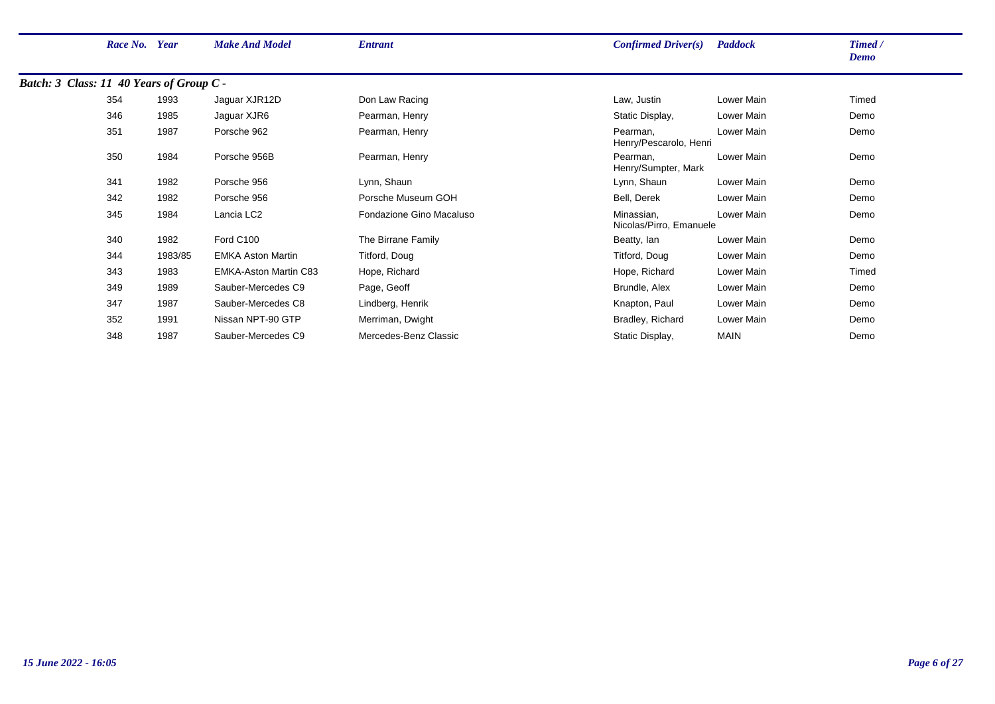|                                          | Race No. Year |         | <b>Make And Model</b>        | <b>Entrant</b>           | Confirmed Driver(s)                   | <b>Paddock</b> | Timed /<br>Demo |
|------------------------------------------|---------------|---------|------------------------------|--------------------------|---------------------------------------|----------------|-----------------|
| Batch: 3 Class: 11 40 Years of Group C - |               |         |                              |                          |                                       |                |                 |
|                                          | 354           | 1993    | Jaguar XJR12D                | Don Law Racing           | Law, Justin                           | Lower Main     | Timed           |
|                                          | 346           | 1985    | Jaguar XJR6                  | Pearman, Henry           | Static Display,                       | Lower Main     | Demo            |
|                                          | 351           | 1987    | Porsche 962                  | Pearman, Henry           | Pearman,<br>Henry/Pescarolo, Henri    | Lower Main     | Demo            |
|                                          | 350           | 1984    | Porsche 956B                 | Pearman, Henry           | Pearman,<br>Henry/Sumpter, Mark       | Lower Main     | Demo            |
|                                          | 341           | 1982    | Porsche 956                  | Lynn, Shaun              | Lynn, Shaun                           | Lower Main     | Demo            |
|                                          | 342           | 1982    | Porsche 956                  | Porsche Museum GOH       | Bell, Derek                           | Lower Main     | Demo            |
|                                          | 345           | 1984    | Lancia LC <sub>2</sub>       | Fondazione Gino Macaluso | Minassian,<br>Nicolas/Pirro, Emanuele | Lower Main     | Demo            |
|                                          | 340           | 1982    | Ford C100                    | The Birrane Family       | Beatty, lan                           | Lower Main     | Demo            |
|                                          | 344           | 1983/85 | <b>EMKA Aston Martin</b>     | Titford, Doug            | Titford, Doug                         | Lower Main     | Demo            |
|                                          | 343           | 1983    | <b>EMKA-Aston Martin C83</b> | Hope, Richard            | Hope, Richard                         | Lower Main     | Timed           |
|                                          | 349           | 1989    | Sauber-Mercedes C9           | Page, Geoff              | Brundle, Alex                         | Lower Main     | Demo            |
|                                          | 347           | 1987    | Sauber-Mercedes C8           | Lindberg, Henrik         | Knapton, Paul                         | Lower Main     | Demo            |
|                                          | 352           | 1991    | Nissan NPT-90 GTP            | Merriman, Dwight         | Bradley, Richard                      | Lower Main     | Demo            |
|                                          | 348           | 1987    | Sauber-Mercedes C9           | Mercedes-Benz Classic    | Static Display,                       | <b>MAIN</b>    | Demo            |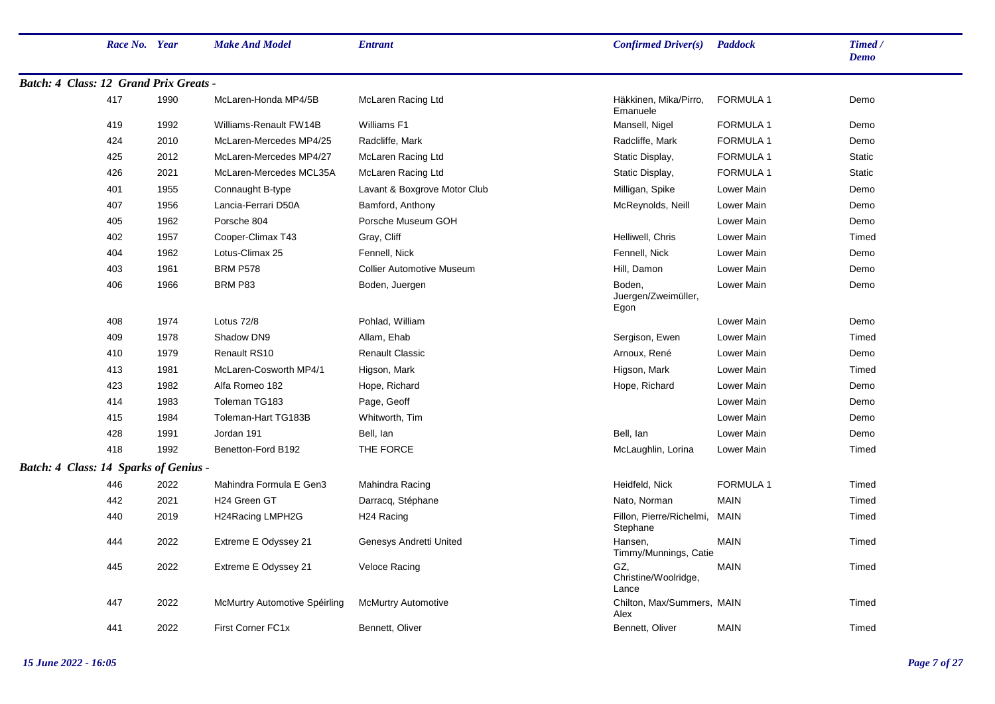|                                              | Race No. Year |      | <b>Make And Model</b>         | <b>Entrant</b>                   | Confirmed Driver(s)                   | <b>Paddock</b>   | Timed /<br><b>Demo</b> |
|----------------------------------------------|---------------|------|-------------------------------|----------------------------------|---------------------------------------|------------------|------------------------|
| Batch: 4 Class: 12 Grand Prix Greats -       |               |      |                               |                                  |                                       |                  |                        |
|                                              | 417           | 1990 | McLaren-Honda MP4/5B          | McLaren Racing Ltd               | Häkkinen, Mika/Pirro,<br>Emanuele     | <b>FORMULA 1</b> | Demo                   |
|                                              | 419           | 1992 | Williams-Renault FW14B        | Williams F1                      | Mansell, Nigel                        | <b>FORMULA 1</b> | Demo                   |
|                                              | 424           | 2010 | McLaren-Mercedes MP4/25       | Radcliffe, Mark                  | Radcliffe, Mark                       | <b>FORMULA 1</b> | Demo                   |
|                                              | 425           | 2012 | McLaren-Mercedes MP4/27       | McLaren Racing Ltd               | Static Display,                       | FORMULA 1        | <b>Static</b>          |
|                                              | 426           | 2021 | McLaren-Mercedes MCL35A       | McLaren Racing Ltd               | Static Display,                       | <b>FORMULA 1</b> | <b>Static</b>          |
|                                              | 401           | 1955 | Connaught B-type              | Lavant & Boxgrove Motor Club     | Milligan, Spike                       | Lower Main       | Demo                   |
|                                              | 407           | 1956 | Lancia-Ferrari D50A           | Bamford, Anthony                 | McReynolds, Neill                     | Lower Main       | Demo                   |
|                                              | 405           | 1962 | Porsche 804                   | Porsche Museum GOH               |                                       | Lower Main       | Demo                   |
|                                              | 402           | 1957 | Cooper-Climax T43             | Gray, Cliff                      | Helliwell, Chris                      | Lower Main       | Timed                  |
|                                              | 404           | 1962 | Lotus-Climax 25               | Fennell, Nick                    | Fennell, Nick                         | Lower Main       | Demo                   |
|                                              | 403           | 1961 | <b>BRM P578</b>               | <b>Collier Automotive Museum</b> | Hill, Damon                           | Lower Main       | Demo                   |
|                                              | 406           | 1966 | BRM P83                       | Boden, Juergen                   | Boden,<br>Juergen/Zweimüller,<br>Egon | Lower Main       | Demo                   |
|                                              | 408           | 1974 | Lotus 72/8                    | Pohlad, William                  |                                       | Lower Main       | Demo                   |
|                                              | 409           | 1978 | Shadow DN9                    | Allam, Ehab                      | Sergison, Ewen                        | Lower Main       | Timed                  |
|                                              | 410           | 1979 | Renault RS10                  | <b>Renault Classic</b>           | Arnoux, René                          | Lower Main       | Demo                   |
|                                              | 413           | 1981 | McLaren-Cosworth MP4/1        | Higson, Mark                     | Higson, Mark                          | Lower Main       | Timed                  |
|                                              | 423           | 1982 | Alfa Romeo 182                | Hope, Richard                    | Hope, Richard                         | Lower Main       | Demo                   |
|                                              | 414           | 1983 | Toleman TG183                 | Page, Geoff                      |                                       | Lower Main       | Demo                   |
|                                              | 415           | 1984 | Toleman-Hart TG183B           | Whitworth, Tim                   |                                       | Lower Main       | Demo                   |
|                                              | 428           | 1991 | Jordan 191                    | Bell, Ian                        | Bell, lan                             | Lower Main       | Demo                   |
|                                              | 418           | 1992 | Benetton-Ford B192            | THE FORCE                        | McLaughlin, Lorina                    | Lower Main       | Timed                  |
| <b>Batch: 4 Class: 14 Sparks of Genius -</b> |               |      |                               |                                  |                                       |                  |                        |
|                                              | 446           | 2022 | Mahindra Formula E Gen3       | Mahindra Racing                  | Heidfeld, Nick                        | FORMULA 1        | Timed                  |
|                                              | 442           | 2021 | H24 Green GT                  | Darracq, Stéphane                | Nato, Norman                          | <b>MAIN</b>      | Timed                  |
|                                              | 440           | 2019 | H24Racing LMPH2G              | H <sub>24</sub> Racing           | Fillon, Pierre/Richelmi,<br>Stephane  | MAIN             | Timed                  |
|                                              | 444           | 2022 | Extreme E Odyssey 21          | Genesys Andretti United          | Hansen,<br>Timmy/Munnings, Catie      | <b>MAIN</b>      | Timed                  |
|                                              | 445           | 2022 | Extreme E Odyssey 21          | Veloce Racing                    | GZ,<br>Christine/Woolridge,<br>Lance  | <b>MAIN</b>      | Timed                  |
|                                              | 447           | 2022 | McMurtry Automotive Spéirling | <b>McMurtry Automotive</b>       | Chilton, Max/Summers, MAIN<br>Alex    |                  | Timed                  |
|                                              | 441           | 2022 | First Corner FC1x             | Bennett, Oliver                  | Bennett, Oliver                       | <b>MAIN</b>      | Timed                  |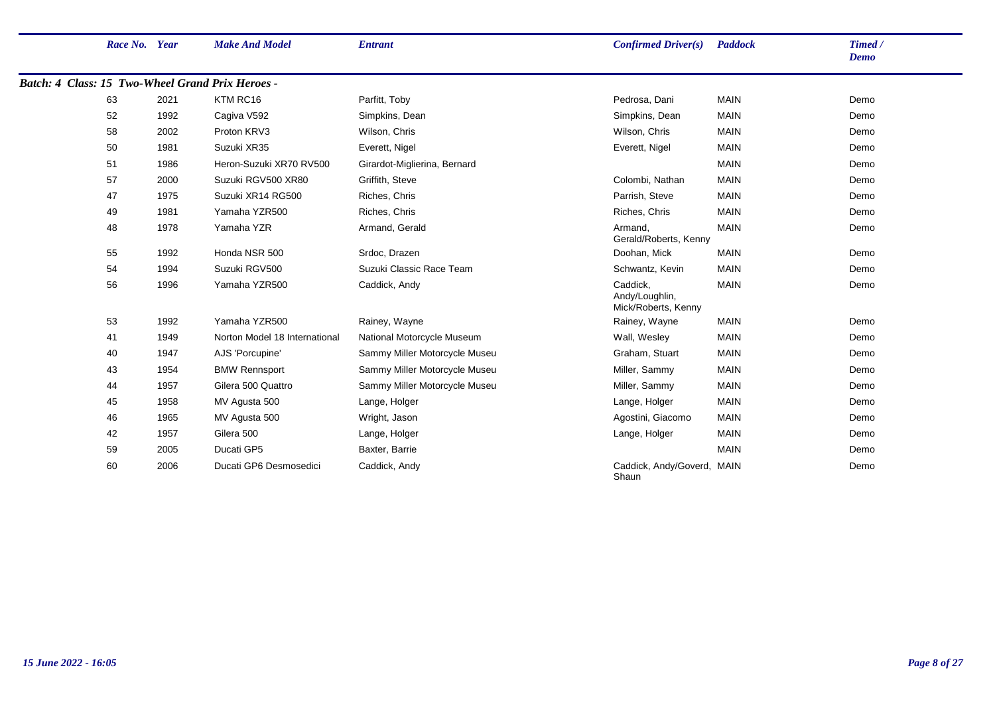| Race No. Year |      | <b>Make And Model</b>                            | <b>Entrant</b>                | Confirmed Driver(s)                               | <b>Paddock</b> | Timed /<br><b>Demo</b> |
|---------------|------|--------------------------------------------------|-------------------------------|---------------------------------------------------|----------------|------------------------|
|               |      | Batch: 4 Class: 15 Two-Wheel Grand Prix Heroes - |                               |                                                   |                |                        |
| 63            | 2021 | KTM RC16                                         | Parfitt, Toby                 | Pedrosa, Dani                                     | <b>MAIN</b>    | Demo                   |
| 52            | 1992 | Cagiva V592                                      | Simpkins, Dean                | Simpkins, Dean                                    | <b>MAIN</b>    | Demo                   |
| 58            | 2002 | Proton KRV3                                      | Wilson, Chris                 | Wilson, Chris                                     | <b>MAIN</b>    | Demo                   |
| 50            | 1981 | Suzuki XR35                                      | Everett, Nigel                | Everett, Nigel                                    | <b>MAIN</b>    | Demo                   |
| 51            | 1986 | Heron-Suzuki XR70 RV500                          | Girardot-Miglierina, Bernard  |                                                   | <b>MAIN</b>    | Demo                   |
| 57            | 2000 | Suzuki RGV500 XR80                               | Griffith, Steve               | Colombi, Nathan                                   | <b>MAIN</b>    | Demo                   |
| 47            | 1975 | Suzuki XR14 RG500                                | Riches, Chris                 | Parrish, Steve                                    | <b>MAIN</b>    | Demo                   |
| 49            | 1981 | Yamaha YZR500                                    | Riches, Chris                 | Riches, Chris                                     | <b>MAIN</b>    | Demo                   |
| 48            | 1978 | Yamaha YZR                                       | Armand, Gerald                | Armand,<br>Gerald/Roberts, Kenny                  | <b>MAIN</b>    | Demo                   |
| 55            | 1992 | Honda NSR 500                                    | Srdoc, Drazen                 | Doohan, Mick                                      | <b>MAIN</b>    | Demo                   |
| 54            | 1994 | Suzuki RGV500                                    | Suzuki Classic Race Team      | Schwantz, Kevin                                   | <b>MAIN</b>    | Demo                   |
| 56            | 1996 | Yamaha YZR500                                    | Caddick, Andy                 | Caddick,<br>Andy/Loughlin,<br>Mick/Roberts, Kenny | <b>MAIN</b>    | Demo                   |
| 53            | 1992 | Yamaha YZR500                                    | Rainey, Wayne                 | Rainey, Wayne                                     | <b>MAIN</b>    | Demo                   |
| 41            | 1949 | Norton Model 18 International                    | National Motorcycle Museum    | Wall, Wesley                                      | <b>MAIN</b>    | Demo                   |
| 40            | 1947 | AJS 'Porcupine'                                  | Sammy Miller Motorcycle Museu | Graham, Stuart                                    | <b>MAIN</b>    | Demo                   |
| 43            | 1954 | <b>BMW Rennsport</b>                             | Sammy Miller Motorcycle Museu | Miller, Sammy                                     | <b>MAIN</b>    | Demo                   |
| 44            | 1957 | Gilera 500 Quattro                               | Sammy Miller Motorcycle Museu | Miller, Sammy                                     | <b>MAIN</b>    | Demo                   |
| 45            | 1958 | MV Agusta 500                                    | Lange, Holger                 | Lange, Holger                                     | <b>MAIN</b>    | Demo                   |
| 46            | 1965 | MV Agusta 500                                    | Wright, Jason                 | Agostini, Giacomo                                 | <b>MAIN</b>    | Demo                   |
| 42            | 1957 | Gilera 500                                       | Lange, Holger                 | Lange, Holger                                     | <b>MAIN</b>    | Demo                   |
| 59            | 2005 | Ducati GP5                                       | Baxter, Barrie                |                                                   | <b>MAIN</b>    | Demo                   |
| 60            | 2006 | Ducati GP6 Desmosedici                           | Caddick, Andy                 | Caddick, Andy/Goverd, MAIN<br>Shaun               |                | Demo                   |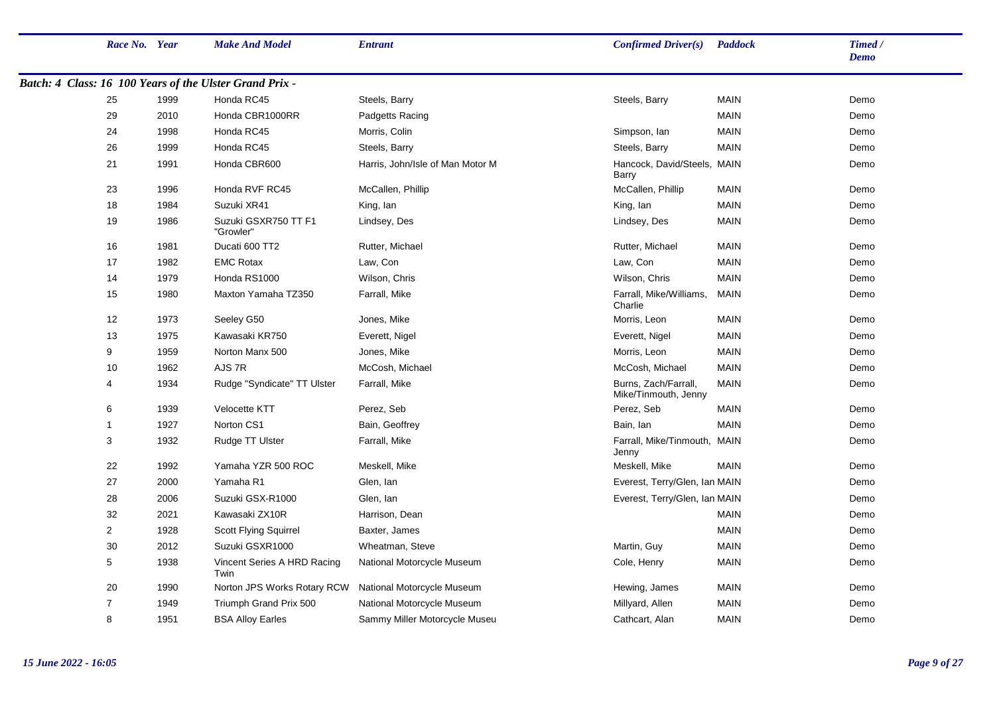| Race No. Year  |      | <b>Make And Model</b>                                   | <b>Entrant</b>                   | Confirmed Driver(s)                          | <b>Paddock</b> | Timed /<br><b>Demo</b> |
|----------------|------|---------------------------------------------------------|----------------------------------|----------------------------------------------|----------------|------------------------|
|                |      | Batch: 4 Class: 16 100 Years of the Ulster Grand Prix - |                                  |                                              |                |                        |
| 25             | 1999 | Honda RC45                                              | Steels, Barry                    | Steels, Barry                                | <b>MAIN</b>    | Demo                   |
| 29             | 2010 | Honda CBR1000RR                                         | Padgetts Racing                  |                                              | <b>MAIN</b>    | Demo                   |
| 24             | 1998 | Honda RC45                                              | Morris, Colin                    | Simpson, Ian                                 | <b>MAIN</b>    | Demo                   |
| 26             | 1999 | Honda RC45                                              | Steels, Barry                    | Steels, Barry                                | <b>MAIN</b>    | Demo                   |
| 21             | 1991 | Honda CBR600                                            | Harris, John/Isle of Man Motor M | Hancock, David/Steels, MAIN<br>Barry         |                | Demo                   |
| 23             | 1996 | Honda RVF RC45                                          | McCallen, Phillip                | McCallen, Phillip                            | <b>MAIN</b>    | Demo                   |
| 18             | 1984 | Suzuki XR41                                             | King, lan                        | King, lan                                    | <b>MAIN</b>    | Demo                   |
| 19             | 1986 | Suzuki GSXR750 TT F1<br>"Growler"                       | Lindsey, Des                     | Lindsey, Des                                 | <b>MAIN</b>    | Demo                   |
| 16             | 1981 | Ducati 600 TT2                                          | Rutter, Michael                  | Rutter, Michael                              | <b>MAIN</b>    | Demo                   |
| 17             | 1982 | <b>EMC Rotax</b>                                        | Law, Con                         | Law, Con                                     | <b>MAIN</b>    | Demo                   |
| 14             | 1979 | Honda RS1000                                            | Wilson, Chris                    | Wilson, Chris                                | <b>MAIN</b>    | Demo                   |
| 15             | 1980 | Maxton Yamaha TZ350                                     | Farrall, Mike                    | Farrall, Mike/Williams,<br>Charlie           | <b>MAIN</b>    | Demo                   |
| 12             | 1973 | Seeley G50                                              | Jones, Mike                      | Morris, Leon                                 | <b>MAIN</b>    | Demo                   |
| 13             | 1975 | Kawasaki KR750                                          | Everett, Nigel                   | Everett, Nigel                               | <b>MAIN</b>    | Demo                   |
| 9              | 1959 | Norton Manx 500                                         | Jones, Mike                      | Morris, Leon                                 | <b>MAIN</b>    | Demo                   |
| 10             | 1962 | AJS7R                                                   | McCosh, Michael                  | McCosh, Michael                              | <b>MAIN</b>    | Demo                   |
| 4              | 1934 | Rudge "Syndicate" TT Ulster                             | Farrall, Mike                    | Burns, Zach/Farrall,<br>Mike/Tinmouth, Jenny | <b>MAIN</b>    | Demo                   |
| 6              | 1939 | Velocette KTT                                           | Perez, Seb                       | Perez, Seb                                   | <b>MAIN</b>    | Demo                   |
| $\mathbf{1}$   | 1927 | Norton CS1                                              | Bain, Geoffrey                   | Bain, lan                                    | <b>MAIN</b>    | Demo                   |
| 3              | 1932 | Rudge TT Ulster                                         | Farrall, Mike                    | Farrall, Mike/Tinmouth, MAIN<br>Jenny        |                | Demo                   |
| 22             | 1992 | Yamaha YZR 500 ROC                                      | Meskell, Mike                    | Meskell, Mike                                | <b>MAIN</b>    | Demo                   |
| 27             | 2000 | Yamaha R1                                               | Glen, lan                        | Everest, Terry/Glen, Ian MAIN                |                | Demo                   |
| 28             | 2006 | Suzuki GSX-R1000                                        | Glen, lan                        | Everest, Terry/Glen, Ian MAIN                |                | Demo                   |
| 32             | 2021 | Kawasaki ZX10R                                          | Harrison, Dean                   |                                              | <b>MAIN</b>    | Demo                   |
| $\overline{c}$ | 1928 | <b>Scott Flying Squirrel</b>                            | Baxter, James                    |                                              | <b>MAIN</b>    | Demo                   |
| 30             | 2012 | Suzuki GSXR1000                                         | Wheatman, Steve                  | Martin, Guy                                  | <b>MAIN</b>    | Demo                   |
| 5              | 1938 | Vincent Series A HRD Racing<br>Twin                     | National Motorcycle Museum       | Cole, Henry                                  | <b>MAIN</b>    | Demo                   |
| 20             | 1990 | Norton JPS Works Rotary RCW                             | National Motorcycle Museum       | Hewing, James                                | <b>MAIN</b>    | Demo                   |
| $\overline{7}$ | 1949 | Triumph Grand Prix 500                                  | National Motorcycle Museum       | Millyard, Allen                              | <b>MAIN</b>    | Demo                   |
| 8              | 1951 | <b>BSA Alloy Earles</b>                                 | Sammy Miller Motorcycle Museu    | Cathcart. Alan                               | <b>MAIN</b>    | Demo                   |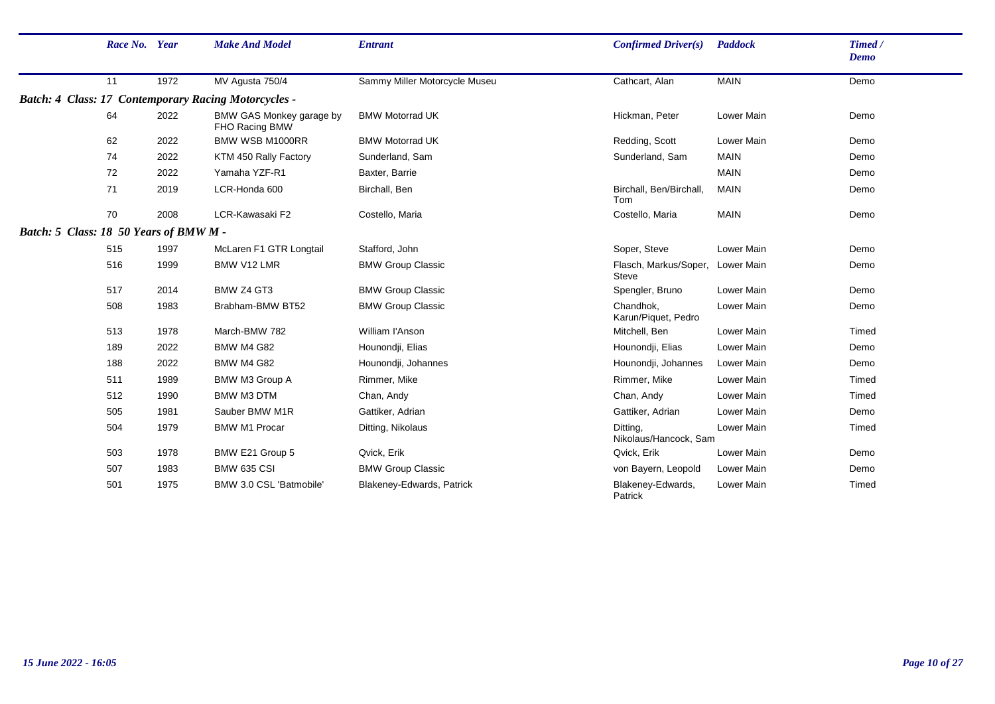|                                        | Race No. Year |      | <b>Make And Model</b>                                       | <b>Entrant</b>                | <b>Confirmed Driver(s)</b>            | <b>Paddock</b>    | Timed /<br>Demo |
|----------------------------------------|---------------|------|-------------------------------------------------------------|-------------------------------|---------------------------------------|-------------------|-----------------|
|                                        | 11            | 1972 | MV Agusta 750/4                                             | Sammy Miller Motorcycle Museu | Cathcart, Alan                        | <b>MAIN</b>       | Demo            |
|                                        |               |      | <b>Batch: 4 Class: 17 Contemporary Racing Motorcycles -</b> |                               |                                       |                   |                 |
|                                        | 64            | 2022 | BMW GAS Monkey garage by<br>FHO Racing BMW                  | <b>BMW Motorrad UK</b>        | Hickman, Peter                        | Lower Main        | Demo            |
|                                        | 62            | 2022 | BMW WSB M1000RR                                             | <b>BMW Motorrad UK</b>        | Redding, Scott                        | Lower Main        | Demo            |
|                                        | 74            | 2022 | KTM 450 Rally Factory                                       | Sunderland, Sam               | Sunderland, Sam                       | <b>MAIN</b>       | Demo            |
|                                        | 72            | 2022 | Yamaha YZF-R1                                               | Baxter, Barrie                |                                       | <b>MAIN</b>       | Demo            |
|                                        | 71            | 2019 | LCR-Honda 600                                               | Birchall, Ben                 | Birchall, Ben/Birchall,<br>Tom        | <b>MAIN</b>       | Demo            |
|                                        | 70            | 2008 | LCR-Kawasaki F2                                             | Costello, Maria               | Costello, Maria                       | <b>MAIN</b>       | Demo            |
| Batch: 5 Class: 18 50 Years of BMW M - |               |      |                                                             |                               |                                       |                   |                 |
|                                        | 515           | 1997 | McLaren F1 GTR Longtail                                     | Stafford, John                | Soper, Steve                          | Lower Main        | Demo            |
|                                        | 516           | 1999 | BMW V12 LMR                                                 | <b>BMW Group Classic</b>      | Flasch, Markus/Soper,<br><b>Steve</b> | Lower Main        | Demo            |
|                                        | 517           | 2014 | BMW Z4 GT3                                                  | <b>BMW Group Classic</b>      | Spengler, Bruno                       | Lower Main        | Demo            |
|                                        | 508           | 1983 | Brabham-BMW BT52                                            | <b>BMW Group Classic</b>      | Chandhok,<br>Karun/Piquet, Pedro      | Lower Main        | Demo            |
|                                        | 513           | 1978 | March-BMW 782                                               | William l'Anson               | Mitchell, Ben                         | <b>Lower Main</b> | Timed           |
|                                        | 189           | 2022 | <b>BMW M4 G82</b>                                           | Hounondji, Elias              | Hounondji, Elias                      | Lower Main        | Demo            |
|                                        | 188           | 2022 | <b>BMW M4 G82</b>                                           | Hounondji, Johannes           | Hounondji, Johannes                   | Lower Main        | Demo            |
|                                        | 511           | 1989 | BMW M3 Group A                                              | Rimmer, Mike                  | Rimmer, Mike                          | Lower Main        | Timed           |
|                                        | 512           | 1990 | <b>BMW M3 DTM</b>                                           | Chan, Andy                    | Chan, Andy                            | Lower Main        | Timed           |
|                                        | 505           | 1981 | Sauber BMW M1R                                              | Gattiker, Adrian              | Gattiker, Adrian                      | <b>Lower Main</b> | Demo            |
|                                        | 504           | 1979 | <b>BMW M1 Procar</b>                                        | Ditting, Nikolaus             | Ditting,<br>Nikolaus/Hancock, Sam     | Lower Main        | Timed           |
|                                        | 503           | 1978 | BMW E21 Group 5                                             | Qvick, Erik                   | Qvick, Erik                           | <b>Lower Main</b> | Demo            |
|                                        | 507           | 1983 | <b>BMW 635 CSI</b>                                          | <b>BMW Group Classic</b>      | von Bayern, Leopold                   | <b>Lower Main</b> | Demo            |
|                                        | 501           | 1975 | BMW 3.0 CSL 'Batmobile'                                     | Blakeney-Edwards, Patrick     | Blakeney-Edwards,<br>Patrick          | Lower Main        | Timed           |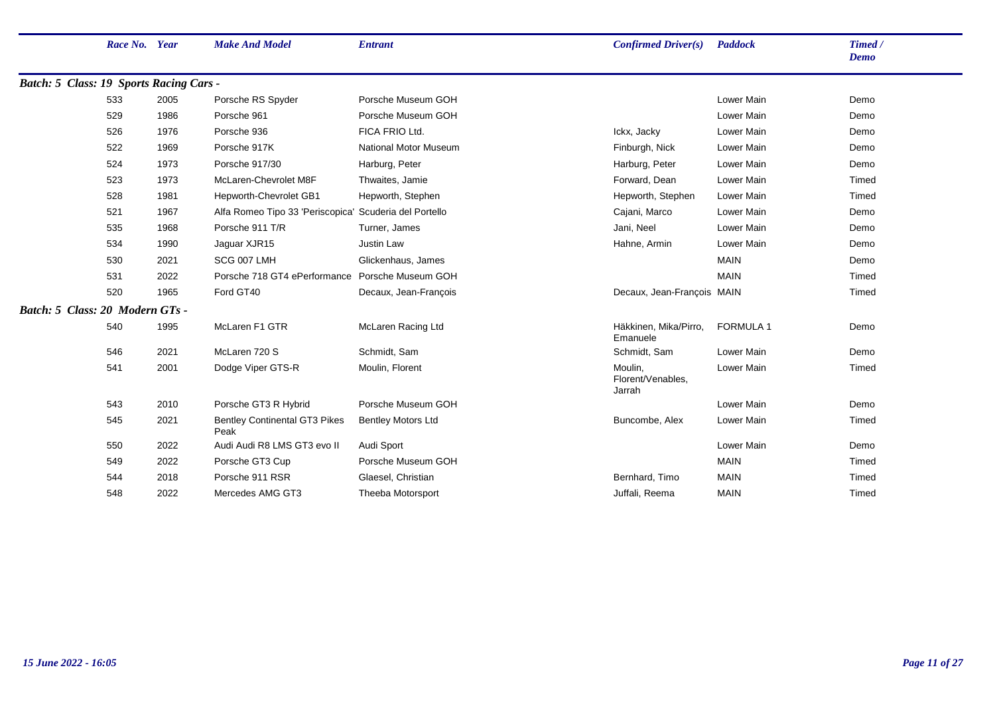|                                         | Race No. Year |      | <b>Make And Model</b>                                  | <b>Entrant</b>               | <b>Confirmed Driver(s)</b>             | Paddock          | Timed /<br><b>Demo</b> |
|-----------------------------------------|---------------|------|--------------------------------------------------------|------------------------------|----------------------------------------|------------------|------------------------|
| Batch: 5 Class: 19 Sports Racing Cars - |               |      |                                                        |                              |                                        |                  |                        |
|                                         | 533           | 2005 | Porsche RS Spyder                                      | Porsche Museum GOH           |                                        | Lower Main       | Demo                   |
|                                         | 529           | 1986 | Porsche 961                                            | Porsche Museum GOH           |                                        | Lower Main       | Demo                   |
|                                         | 526           | 1976 | Porsche 936                                            | FICA FRIO Ltd.               | Ickx, Jacky                            | Lower Main       | Demo                   |
|                                         | 522           | 1969 | Porsche 917K                                           | <b>National Motor Museum</b> | Finburgh, Nick                         | Lower Main       | Demo                   |
|                                         | 524           | 1973 | Porsche 917/30                                         | Harburg, Peter               | Harburg, Peter                         | Lower Main       | Demo                   |
|                                         | 523           | 1973 | McLaren-Chevrolet M8F                                  | Thwaites, Jamie              | Forward, Dean                          | Lower Main       | Timed                  |
|                                         | 528           | 1981 | Hepworth-Chevrolet GB1                                 | Hepworth, Stephen            | Hepworth, Stephen                      | Lower Main       | Timed                  |
|                                         | 521           | 1967 | Alfa Romeo Tipo 33 'Periscopica' Scuderia del Portello |                              | Cajani, Marco                          | Lower Main       | Demo                   |
|                                         | 535           | 1968 | Porsche 911 T/R                                        | Turner, James                | Jani, Neel                             | Lower Main       | Demo                   |
|                                         | 534           | 1990 | Jaguar XJR15                                           | Justin Law                   | Hahne, Armin                           | Lower Main       | Demo                   |
|                                         | 530           | 2021 | SCG 007 LMH                                            | Glickenhaus, James           |                                        | <b>MAIN</b>      | Demo                   |
|                                         | 531           | 2022 | Porsche 718 GT4 ePerformance                           | Porsche Museum GOH           |                                        | <b>MAIN</b>      | Timed                  |
|                                         | 520           | 1965 | Ford GT40                                              | Decaux, Jean-Francois        | Decaux, Jean-Francois MAIN             |                  | Timed                  |
| Batch: 5 Class: 20 Modern GTs -         |               |      |                                                        |                              |                                        |                  |                        |
|                                         | 540           | 1995 | McLaren F1 GTR                                         | McLaren Racing Ltd           | Häkkinen, Mika/Pirro,<br>Emanuele      | <b>FORMULA 1</b> | Demo                   |
|                                         | 546           | 2021 | McLaren 720 S                                          | Schmidt, Sam                 | Schmidt, Sam                           | Lower Main       | Demo                   |
|                                         | 541           | 2001 | Dodge Viper GTS-R                                      | Moulin, Florent              | Moulin,<br>Florent/Venables,<br>Jarrah | Lower Main       | Timed                  |
|                                         | 543           | 2010 | Porsche GT3 R Hybrid                                   | Porsche Museum GOH           |                                        | Lower Main       | Demo                   |
|                                         | 545           | 2021 | <b>Bentley Continental GT3 Pikes</b><br>Peak           | <b>Bentley Motors Ltd</b>    | Buncombe, Alex                         | Lower Main       | Timed                  |
|                                         | 550           | 2022 | Audi Audi R8 LMS GT3 evo II                            | Audi Sport                   |                                        | Lower Main       | Demo                   |
|                                         | 549           | 2022 | Porsche GT3 Cup                                        | Porsche Museum GOH           |                                        | <b>MAIN</b>      | Timed                  |
|                                         | 544           | 2018 | Porsche 911 RSR                                        | Glaesel, Christian           | Bernhard, Timo                         | <b>MAIN</b>      | Timed                  |
|                                         | 548           | 2022 | Mercedes AMG GT3                                       | Theeba Motorsport            | Juffali, Reema                         | <b>MAIN</b>      | Timed                  |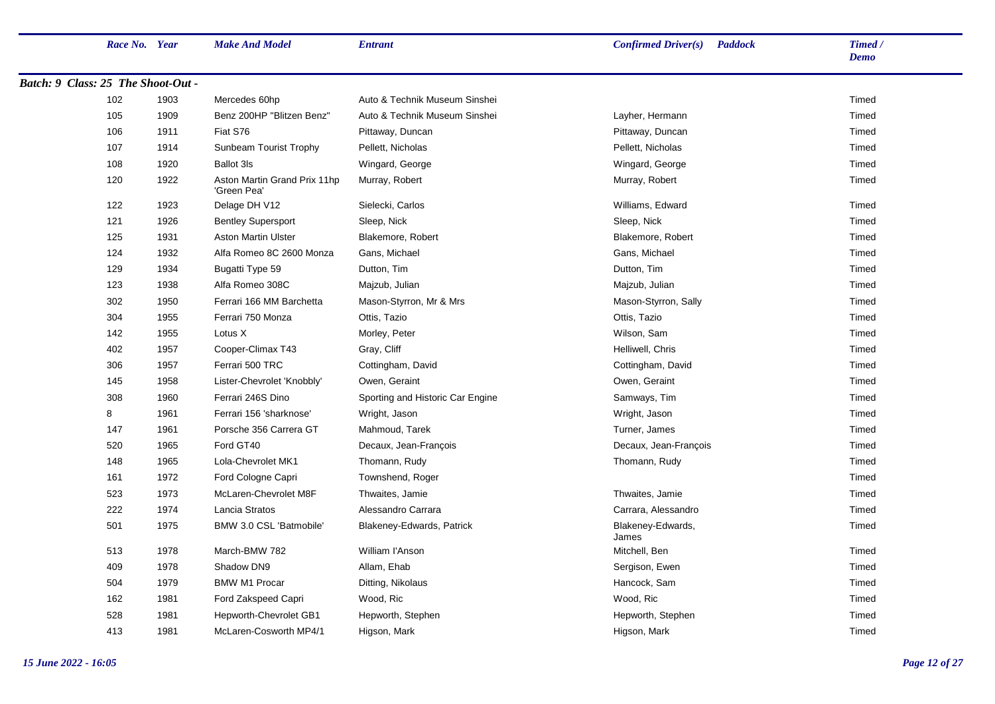| Race No. Year                      |      | <b>Make And Model</b>                       | <b>Entrant</b>                   | <b>Confirmed Driver(s)</b> Paddock | Timed /<br><b>Demo</b> |
|------------------------------------|------|---------------------------------------------|----------------------------------|------------------------------------|------------------------|
| Batch: 9 Class: 25 The Shoot-Out - |      |                                             |                                  |                                    |                        |
| 102                                | 1903 | Mercedes 60hp                               | Auto & Technik Museum Sinshei    |                                    | Timed                  |
| 105                                | 1909 | Benz 200HP "Blitzen Benz"                   | Auto & Technik Museum Sinshei    | Layher, Hermann                    | Timed                  |
| 106                                | 1911 | Fiat S76                                    | Pittaway, Duncan                 | Pittaway, Duncan                   | Timed                  |
| 107                                | 1914 | Sunbeam Tourist Trophy                      | Pellett, Nicholas                | Pellett, Nicholas                  | Timed                  |
| 108                                | 1920 | <b>Ballot 3ls</b>                           | Wingard, George                  | Wingard, George                    | Timed                  |
| 120                                | 1922 | Aston Martin Grand Prix 11hp<br>'Green Pea' | Murray, Robert                   | Murray, Robert                     | Timed                  |
| 122                                | 1923 | Delage DH V12                               | Sielecki, Carlos                 | Williams, Edward                   | Timed                  |
| 121                                | 1926 | <b>Bentley Supersport</b>                   | Sleep, Nick                      | Sleep, Nick                        | Timed                  |
| 125                                | 1931 | <b>Aston Martin Ulster</b>                  | Blakemore, Robert                | Blakemore, Robert                  | Timed                  |
| 124                                | 1932 | Alfa Romeo 8C 2600 Monza                    | Gans, Michael                    | Gans, Michael                      | Timed                  |
| 129                                | 1934 | Bugatti Type 59                             | Dutton, Tim                      | Dutton, Tim                        | Timed                  |
| 123                                | 1938 | Alfa Romeo 308C                             | Majzub, Julian                   | Majzub, Julian                     | Timed                  |
| 302                                | 1950 | Ferrari 166 MM Barchetta                    | Mason-Styrron, Mr & Mrs          | Mason-Styrron, Sally               | Timed                  |
| 304                                | 1955 | Ferrari 750 Monza                           | Ottis, Tazio                     | Ottis, Tazio                       | Timed                  |
| 142                                | 1955 | Lotus X                                     | Morley, Peter                    | Wilson, Sam                        | Timed                  |
| 402                                | 1957 | Cooper-Climax T43                           | Gray, Cliff                      | Helliwell, Chris                   | Timed                  |
| 306                                | 1957 | Ferrari 500 TRC                             | Cottingham, David                | Cottingham, David                  | Timed                  |
| 145                                | 1958 | Lister-Chevrolet 'Knobbly'                  | Owen, Geraint                    | Owen, Geraint                      | Timed                  |
| 308                                | 1960 | Ferrari 246S Dino                           | Sporting and Historic Car Engine | Samways, Tim                       | Timed                  |
| 8                                  | 1961 | Ferrari 156 'sharknose'                     | Wright, Jason                    | Wright, Jason                      | Timed                  |
| 147                                | 1961 | Porsche 356 Carrera GT                      | Mahmoud, Tarek                   | Turner, James                      | <b>Timed</b>           |
| 520                                | 1965 | Ford GT40                                   | Decaux, Jean-François            | Decaux, Jean-François              | <b>Timed</b>           |
| 148                                | 1965 | Lola-Chevrolet MK1                          | Thomann, Rudy                    | Thomann, Rudy                      | Timed                  |
| 161                                | 1972 | Ford Cologne Capri                          | Townshend, Roger                 |                                    | Timed                  |
| 523                                | 1973 | McLaren-Chevrolet M8F                       | Thwaites, Jamie                  | Thwaites, Jamie                    | Timed                  |
| 222                                | 1974 | Lancia Stratos                              | Alessandro Carrara               | Carrara, Alessandro                | Timed                  |
| 501                                | 1975 | BMW 3.0 CSL 'Batmobile'                     | <b>Blakeney-Edwards, Patrick</b> | Blakeney-Edwards,<br>James         | Timed                  |
| 513                                | 1978 | March-BMW 782                               | William l'Anson                  | Mitchell, Ben                      | Timed                  |
| 409                                | 1978 | Shadow DN9                                  | Allam, Ehab                      | Sergison, Ewen                     | Timed                  |
| 504                                | 1979 | <b>BMW M1 Procar</b>                        | Ditting, Nikolaus                | Hancock, Sam                       | Timed                  |
| 162                                | 1981 | Ford Zakspeed Capri                         | Wood, Ric                        | Wood, Ric                          | Timed                  |
| 528                                | 1981 | Hepworth-Chevrolet GB1                      | Hepworth, Stephen                | Hepworth, Stephen                  | Timed                  |
| 413                                | 1981 | McLaren-Cosworth MP4/1                      | Higson, Mark                     | Higson, Mark                       | Timed                  |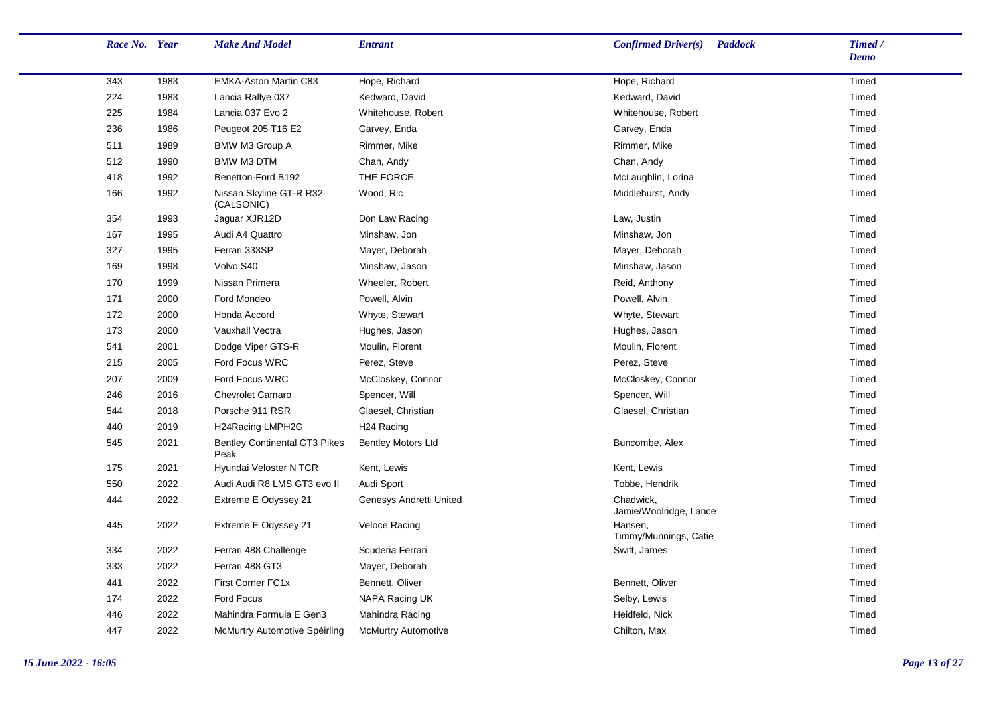| Race No. Year |      | <b>Make And Model</b>                        | <b>Entrant</b>             | Confirmed Driver(s)<br><b>Paddock</b> | Timed /<br><b>Demo</b> |
|---------------|------|----------------------------------------------|----------------------------|---------------------------------------|------------------------|
| 343           | 1983 | EMKA-Aston Martin C83                        | Hope, Richard              | Hope, Richard                         | Timed                  |
| 224           | 1983 | Lancia Rallye 037                            | Kedward, David             | Kedward, David                        | Timed                  |
| 225           | 1984 | Lancia 037 Evo 2                             | Whitehouse, Robert         | Whitehouse, Robert                    | Timed                  |
| 236           | 1986 | Peugeot 205 T16 E2                           | Garvey, Enda               | Garvey, Enda                          | Timed                  |
| 511           | 1989 | BMW M3 Group A                               | Rimmer, Mike               | Rimmer, Mike                          | Timed                  |
| 512           | 1990 | BMW M3 DTM                                   | Chan, Andy                 | Chan, Andy                            | Timed                  |
| 418           | 1992 | Benetton-Ford B192                           | THE FORCE                  | McLaughlin, Lorina                    | Timed                  |
| 166           | 1992 | Nissan Skyline GT-R R32<br>(CALSONIC)        | Wood, Ric                  | Middlehurst, Andy                     | Timed                  |
| 354           | 1993 | Jaguar XJR12D                                | Don Law Racing             | Law, Justin                           | Timed                  |
| 167           | 1995 | Audi A4 Quattro                              | Minshaw, Jon               | Minshaw, Jon                          | Timed                  |
| 327           | 1995 | Ferrari 333SP                                | Mayer, Deborah             | Mayer, Deborah                        | Timed                  |
| 169           | 1998 | Volvo S40                                    | Minshaw, Jason             | Minshaw, Jason                        | Timed                  |
| 170           | 1999 | Nissan Primera                               | Wheeler, Robert            | Reid, Anthony                         | Timed                  |
| 171           | 2000 | Ford Mondeo                                  | Powell, Alvin              | Powell, Alvin                         | Timed                  |
| 172           | 2000 | Honda Accord                                 | Whyte, Stewart             | Whyte, Stewart                        | Timed                  |
| 173           | 2000 | Vauxhall Vectra                              | Hughes, Jason              | Hughes, Jason                         | Timed                  |
| 541           | 2001 | Dodge Viper GTS-R                            | Moulin, Florent            | Moulin, Florent                       | Timed                  |
| 215           | 2005 | Ford Focus WRC                               | Perez, Steve               | Perez, Steve                          | Timed                  |
| 207           | 2009 | Ford Focus WRC                               | McCloskey, Connor          | McCloskey, Connor                     | Timed                  |
| 246           | 2016 | <b>Chevrolet Camaro</b>                      | Spencer, Will              | Spencer, Will                         | Timed                  |
| 544           | 2018 | Porsche 911 RSR                              | Glaesel, Christian         | Glaesel, Christian                    | Timed                  |
| 440           | 2019 | H24Racing LMPH2G                             | H <sub>24</sub> Racing     |                                       | Timed                  |
| 545           | 2021 | <b>Bentley Continental GT3 Pikes</b><br>Peak | <b>Bentley Motors Ltd</b>  | Buncombe, Alex                        | Timed                  |
| 175           | 2021 | Hyundai Veloster N TCR                       | Kent, Lewis                | Kent, Lewis                           | Timed                  |
| 550           | 2022 | Audi Audi R8 LMS GT3 evo II                  | Audi Sport                 | Tobbe, Hendrik                        | Timed                  |
| 444           | 2022 | Extreme E Odyssey 21                         | Genesys Andretti United    | Chadwick.<br>Jamie/Woolridge, Lance   | Timed                  |
| 445           | 2022 | Extreme E Odyssey 21                         | Veloce Racing              | Hansen,<br>Timmy/Munnings, Catie      | Timed                  |
| 334           | 2022 | Ferrari 488 Challenge                        | Scuderia Ferrari           | Swift, James                          | Timed                  |
| 333           | 2022 | Ferrari 488 GT3                              | Mayer, Deborah             |                                       | Timed                  |
| 441           | 2022 | First Corner FC1x                            | Bennett, Oliver            | Bennett, Oliver                       | Timed                  |
| 174           | 2022 | Ford Focus                                   | NAPA Racing UK             | Selby, Lewis                          | Timed                  |
| 446           | 2022 | Mahindra Formula E Gen3                      | Mahindra Racing            | Heidfeld, Nick                        | Timed                  |
| 447           | 2022 | McMurtry Automotive Spéirling                | <b>McMurtry Automotive</b> | Chilton, Max                          | Timed                  |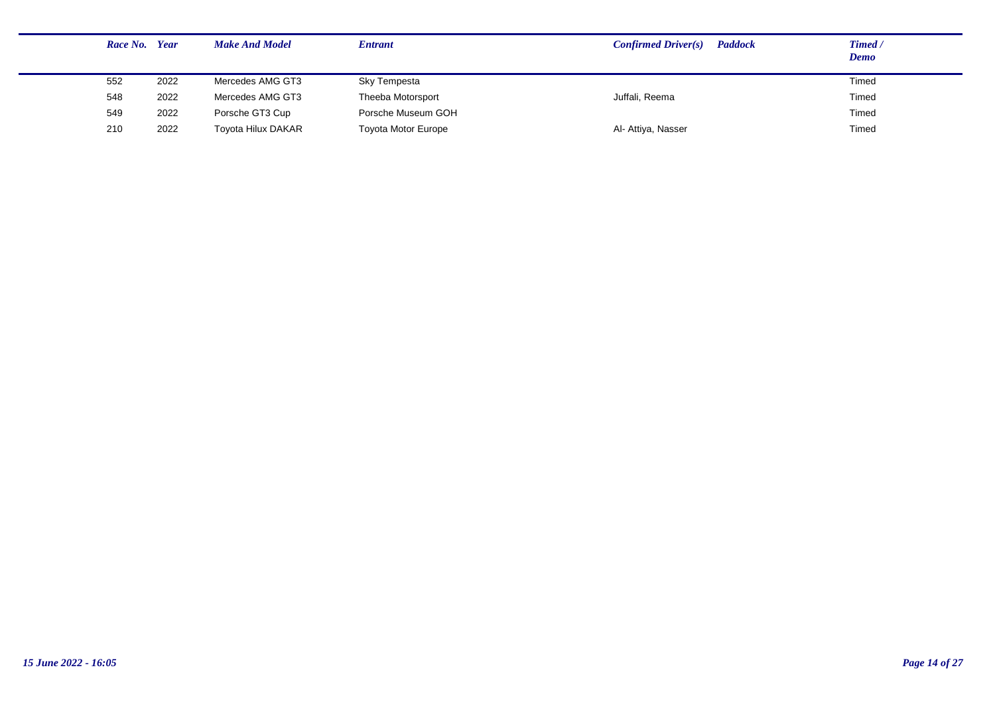| Race No. Year |      | <b>Make And Model</b>     | <b>Entrant</b>             | <b>Paddock</b><br>Confirmed Driver(s) | Timed /<br><b>Demo</b> |
|---------------|------|---------------------------|----------------------------|---------------------------------------|------------------------|
| 552           | 2022 | Mercedes AMG GT3          | Sky Tempesta               |                                       | Timed                  |
| 548           | 2022 | Mercedes AMG GT3          | Theeba Motorsport          | Juffali, Reema                        | Timed                  |
| 549           | 2022 | Porsche GT3 Cup           | Porsche Museum GOH         |                                       | Timed                  |
| 210           | 2022 | <b>Toyota Hilux DAKAR</b> | <b>Toyota Motor Europe</b> | Al- Attiya, Nasser                    | Timed                  |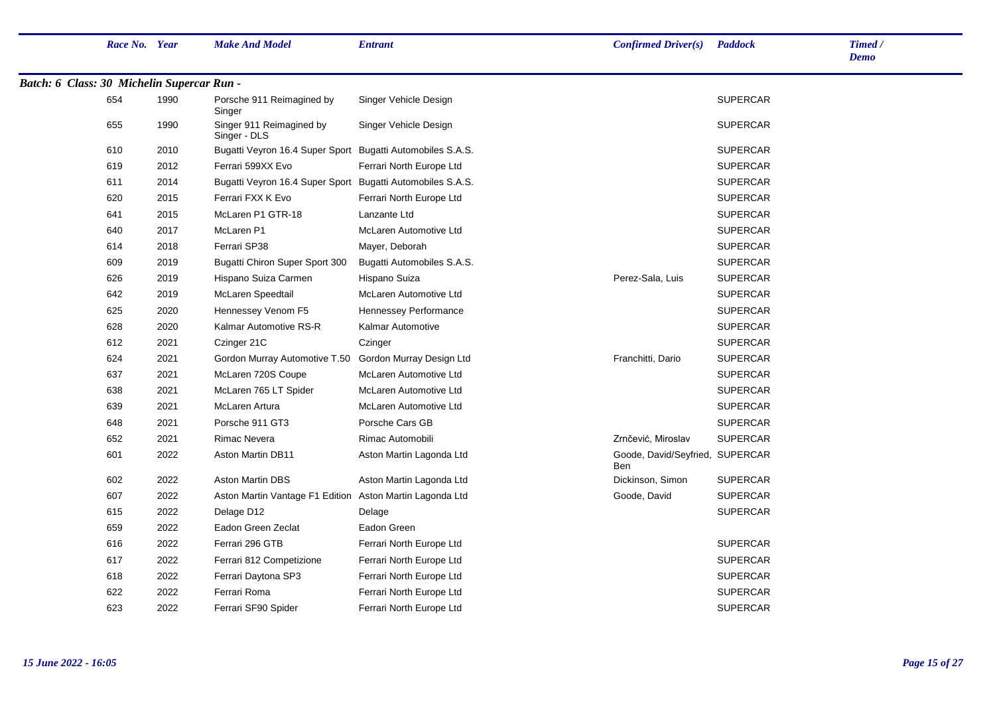|                                            | Race No. Year |      | <b>Make And Model</b>                                      | <b>Entrant</b>               | Confirmed Driver(s)                           | <b>Paddock</b>  | Timed /<br><b>Demo</b> |
|--------------------------------------------|---------------|------|------------------------------------------------------------|------------------------------|-----------------------------------------------|-----------------|------------------------|
| Batch: 6 Class: 30 Michelin Supercar Run - |               |      |                                                            |                              |                                               |                 |                        |
|                                            | 654           | 1990 | Porsche 911 Reimagined by<br>Singer                        | Singer Vehicle Design        |                                               | <b>SUPERCAR</b> |                        |
|                                            | 655           | 1990 | Singer 911 Reimagined by<br>Singer - DLS                   | Singer Vehicle Design        |                                               | <b>SUPERCAR</b> |                        |
|                                            | 610           | 2010 | Bugatti Veyron 16.4 Super Sport Bugatti Automobiles S.A.S. |                              |                                               | <b>SUPERCAR</b> |                        |
|                                            | 619           | 2012 | Ferrari 599XX Evo                                          | Ferrari North Europe Ltd     |                                               | <b>SUPERCAR</b> |                        |
|                                            | 611           | 2014 | Bugatti Veyron 16.4 Super Sport                            | Bugatti Automobiles S.A.S.   |                                               | <b>SUPERCAR</b> |                        |
|                                            | 620           | 2015 | Ferrari FXX K Evo                                          | Ferrari North Europe Ltd     |                                               | <b>SUPERCAR</b> |                        |
|                                            | 641           | 2015 | McLaren P1 GTR-18                                          | Lanzante Ltd                 |                                               | <b>SUPERCAR</b> |                        |
|                                            | 640           | 2017 | McLaren P1                                                 | McLaren Automotive Ltd       |                                               | <b>SUPERCAR</b> |                        |
|                                            | 614           | 2018 | Ferrari SP38                                               | Mayer, Deborah               |                                               | <b>SUPERCAR</b> |                        |
|                                            | 609           | 2019 | Bugatti Chiron Super Sport 300                             | Bugatti Automobiles S.A.S.   |                                               | <b>SUPERCAR</b> |                        |
|                                            | 626           | 2019 | Hispano Suiza Carmen                                       | Hispano Suiza                | Perez-Sala, Luis                              | <b>SUPERCAR</b> |                        |
|                                            | 642           | 2019 | McLaren Speedtail                                          | McLaren Automotive Ltd       |                                               | <b>SUPERCAR</b> |                        |
|                                            | 625           | 2020 | Hennessey Venom F5                                         | <b>Hennessey Performance</b> |                                               | <b>SUPERCAR</b> |                        |
|                                            | 628           | 2020 | Kalmar Automotive RS-R                                     | Kalmar Automotive            |                                               | <b>SUPERCAR</b> |                        |
|                                            | 612           | 2021 | Czinger 21C                                                | Czinger                      |                                               | <b>SUPERCAR</b> |                        |
|                                            | 624           | 2021 | Gordon Murray Automotive T.50                              | Gordon Murray Design Ltd     | Franchitti, Dario                             | <b>SUPERCAR</b> |                        |
|                                            | 637           | 2021 | McLaren 720S Coupe                                         | McLaren Automotive Ltd       |                                               | <b>SUPERCAR</b> |                        |
|                                            | 638           | 2021 | McLaren 765 LT Spider                                      | McLaren Automotive Ltd       |                                               | <b>SUPERCAR</b> |                        |
|                                            | 639           | 2021 | McLaren Artura                                             | McLaren Automotive Ltd       |                                               | <b>SUPERCAR</b> |                        |
|                                            | 648           | 2021 | Porsche 911 GT3                                            | Porsche Cars GB              |                                               | <b>SUPERCAR</b> |                        |
|                                            | 652           | 2021 | <b>Rimac Nevera</b>                                        | Rimac Automobili             | Zrnčević, Miroslav                            | <b>SUPERCAR</b> |                        |
|                                            | 601           | 2022 | <b>Aston Martin DB11</b>                                   | Aston Martin Lagonda Ltd     | Goode, David/Seyfried, SUPERCAR<br><b>Ben</b> |                 |                        |
|                                            | 602           | 2022 | <b>Aston Martin DBS</b>                                    | Aston Martin Lagonda Ltd     | Dickinson, Simon                              | <b>SUPERCAR</b> |                        |
|                                            | 607           | 2022 | Aston Martin Vantage F1 Edition Aston Martin Lagonda Ltd   |                              | Goode, David                                  | <b>SUPERCAR</b> |                        |
|                                            | 615           | 2022 | Delage D12                                                 | Delage                       |                                               | <b>SUPERCAR</b> |                        |
|                                            | 659           | 2022 | Eadon Green Zeclat                                         | Eadon Green                  |                                               |                 |                        |
|                                            | 616           | 2022 | Ferrari 296 GTB                                            | Ferrari North Europe Ltd     |                                               | <b>SUPERCAR</b> |                        |
|                                            | 617           | 2022 | Ferrari 812 Competizione                                   | Ferrari North Europe Ltd     |                                               | <b>SUPERCAR</b> |                        |
|                                            | 618           | 2022 | Ferrari Daytona SP3                                        | Ferrari North Europe Ltd     |                                               | <b>SUPERCAR</b> |                        |
|                                            | 622           | 2022 | Ferrari Roma                                               | Ferrari North Europe Ltd     |                                               | <b>SUPERCAR</b> |                        |
|                                            | 623           | 2022 | Ferrari SF90 Spider                                        | Ferrari North Europe Ltd     |                                               | <b>SUPERCAR</b> |                        |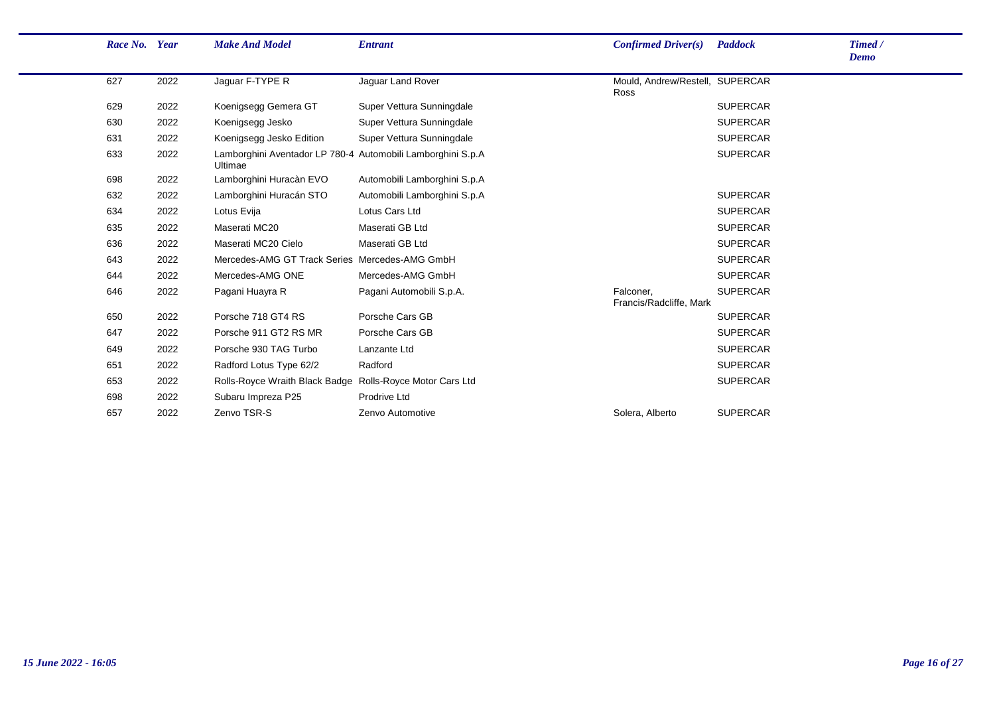| Race No. Year |      | <b>Make And Model</b>                                                  | <b>Entrant</b>               | <b>Confirmed Driver(s)</b>              | Paddock         | Timed /<br><b>Demo</b> |
|---------------|------|------------------------------------------------------------------------|------------------------------|-----------------------------------------|-----------------|------------------------|
| 627           | 2022 | Jaguar F-TYPE R                                                        | Jaguar Land Rover            | Mould, Andrew/Restell, SUPERCAR<br>Ross |                 |                        |
| 629           | 2022 | Koenigsegg Gemera GT                                                   | Super Vettura Sunningdale    |                                         | <b>SUPERCAR</b> |                        |
| 630           | 2022 | Koenigsegg Jesko                                                       | Super Vettura Sunningdale    |                                         | <b>SUPERCAR</b> |                        |
| 631           | 2022 | Koenigsegg Jesko Edition                                               | Super Vettura Sunningdale    |                                         | <b>SUPERCAR</b> |                        |
| 633           | 2022 | Lamborghini Aventador LP 780-4 Automobili Lamborghini S.p.A<br>Ultimae |                              |                                         | <b>SUPERCAR</b> |                        |
| 698           | 2022 | Lamborghini Huracàn EVO                                                | Automobili Lamborghini S.p.A |                                         |                 |                        |
| 632           | 2022 | Lamborghini Huracán STO                                                | Automobili Lamborghini S.p.A |                                         | <b>SUPERCAR</b> |                        |
| 634           | 2022 | Lotus Evija                                                            | Lotus Cars Ltd               |                                         | <b>SUPERCAR</b> |                        |
| 635           | 2022 | Maserati MC20                                                          | Maserati GB Ltd              |                                         | <b>SUPERCAR</b> |                        |
| 636           | 2022 | Maserati MC20 Cielo                                                    | Maserati GB Ltd              |                                         | <b>SUPERCAR</b> |                        |
| 643           | 2022 | Mercedes-AMG GT Track Series Mercedes-AMG GmbH                         |                              |                                         | <b>SUPERCAR</b> |                        |
| 644           | 2022 | Mercedes-AMG ONE                                                       | Mercedes-AMG GmbH            |                                         | <b>SUPERCAR</b> |                        |
| 646           | 2022 | Pagani Huayra R                                                        | Pagani Automobili S.p.A.     | Falconer,<br>Francis/Radcliffe, Mark    | <b>SUPERCAR</b> |                        |
| 650           | 2022 | Porsche 718 GT4 RS                                                     | Porsche Cars GB              |                                         | <b>SUPERCAR</b> |                        |
| 647           | 2022 | Porsche 911 GT2 RS MR                                                  | Porsche Cars GB              |                                         | <b>SUPERCAR</b> |                        |
| 649           | 2022 | Porsche 930 TAG Turbo                                                  | Lanzante Ltd                 |                                         | <b>SUPERCAR</b> |                        |
| 651           | 2022 | Radford Lotus Type 62/2                                                | Radford                      |                                         | <b>SUPERCAR</b> |                        |
| 653           | 2022 | Rolls-Royce Wraith Black Badge Rolls-Royce Motor Cars Ltd              |                              |                                         | <b>SUPERCAR</b> |                        |
| 698           | 2022 | Subaru Impreza P25                                                     | Prodrive Ltd                 |                                         |                 |                        |
| 657           | 2022 | Zenvo TSR-S                                                            | Zenvo Automotive             | Solera, Alberto                         | <b>SUPERCAR</b> |                        |
|               |      |                                                                        |                              |                                         |                 |                        |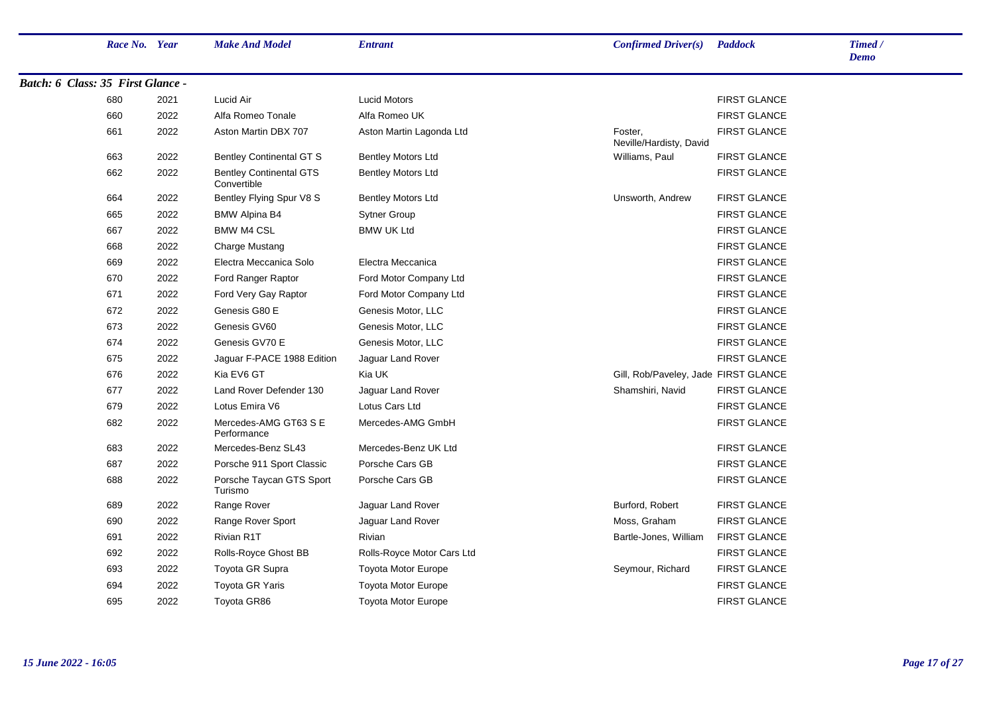|                                   | Race No. Year |      | <b>Make And Model</b>                         | <b>Entrant</b>             | <b>Confirmed Driver(s)</b> Paddock   |                     | Timed /<br><b>Demo</b> |
|-----------------------------------|---------------|------|-----------------------------------------------|----------------------------|--------------------------------------|---------------------|------------------------|
| Batch: 6 Class: 35 First Glance - |               |      |                                               |                            |                                      |                     |                        |
|                                   | 680           | 2021 | Lucid Air                                     | <b>Lucid Motors</b>        |                                      | <b>FIRST GLANCE</b> |                        |
|                                   | 660           | 2022 | Alfa Romeo Tonale                             | Alfa Romeo UK              |                                      | <b>FIRST GLANCE</b> |                        |
|                                   | 661           | 2022 | Aston Martin DBX 707                          | Aston Martin Lagonda Ltd   | Foster,<br>Neville/Hardisty, David   | <b>FIRST GLANCE</b> |                        |
|                                   | 663           | 2022 | <b>Bentley Continental GT S</b>               | <b>Bentley Motors Ltd</b>  | Williams, Paul                       | <b>FIRST GLANCE</b> |                        |
|                                   | 662           | 2022 | <b>Bentley Continental GTS</b><br>Convertible | <b>Bentley Motors Ltd</b>  |                                      | <b>FIRST GLANCE</b> |                        |
|                                   | 664           | 2022 | Bentley Flying Spur V8 S                      | <b>Bentley Motors Ltd</b>  | Unsworth, Andrew                     | <b>FIRST GLANCE</b> |                        |
|                                   | 665           | 2022 | <b>BMW Alpina B4</b>                          | <b>Sytner Group</b>        |                                      | <b>FIRST GLANCE</b> |                        |
|                                   | 667           | 2022 | <b>BMW M4 CSL</b>                             | <b>BMW UK Ltd</b>          |                                      | <b>FIRST GLANCE</b> |                        |
|                                   | 668           | 2022 | Charge Mustang                                |                            |                                      | <b>FIRST GLANCE</b> |                        |
|                                   | 669           | 2022 | Electra Meccanica Solo                        | Electra Meccanica          |                                      | <b>FIRST GLANCE</b> |                        |
|                                   | 670           | 2022 | Ford Ranger Raptor                            | Ford Motor Company Ltd     |                                      | <b>FIRST GLANCE</b> |                        |
|                                   | 671           | 2022 | Ford Very Gay Raptor                          | Ford Motor Company Ltd     |                                      | <b>FIRST GLANCE</b> |                        |
|                                   | 672           | 2022 | Genesis G80 E                                 | Genesis Motor, LLC         |                                      | <b>FIRST GLANCE</b> |                        |
|                                   | 673           | 2022 | Genesis GV60                                  | Genesis Motor, LLC         |                                      | <b>FIRST GLANCE</b> |                        |
|                                   | 674           | 2022 | Genesis GV70 E                                | Genesis Motor, LLC         |                                      | <b>FIRST GLANCE</b> |                        |
|                                   | 675           | 2022 | Jaguar F-PACE 1988 Edition                    | Jaguar Land Rover          |                                      | <b>FIRST GLANCE</b> |                        |
|                                   | 676           | 2022 | Kia EV6 GT                                    | Kia UK                     | Gill, Rob/Paveley, Jade FIRST GLANCE |                     |                        |
|                                   | 677           | 2022 | Land Rover Defender 130                       | Jaguar Land Rover          | Shamshiri, Navid                     | <b>FIRST GLANCE</b> |                        |
|                                   | 679           | 2022 | Lotus Emira V6                                | Lotus Cars Ltd             |                                      | <b>FIRST GLANCE</b> |                        |
|                                   | 682           | 2022 | Mercedes-AMG GT63 S E<br>Performance          | Mercedes-AMG GmbH          |                                      | <b>FIRST GLANCE</b> |                        |
|                                   | 683           | 2022 | Mercedes-Benz SL43                            | Mercedes-Benz UK Ltd       |                                      | <b>FIRST GLANCE</b> |                        |
|                                   | 687           | 2022 | Porsche 911 Sport Classic                     | Porsche Cars GB            |                                      | <b>FIRST GLANCE</b> |                        |
|                                   | 688           | 2022 | Porsche Taycan GTS Sport<br>Turismo           | Porsche Cars GB            |                                      | <b>FIRST GLANCE</b> |                        |
|                                   | 689           | 2022 | Range Rover                                   | Jaguar Land Rover          | Burford, Robert                      | <b>FIRST GLANCE</b> |                        |
|                                   | 690           | 2022 | Range Rover Sport                             | Jaguar Land Rover          | Moss, Graham                         | <b>FIRST GLANCE</b> |                        |
|                                   | 691           | 2022 | Rivian R1T                                    | Rivian                     | Bartle-Jones, William                | <b>FIRST GLANCE</b> |                        |
|                                   | 692           | 2022 | Rolls-Royce Ghost BB                          | Rolls-Royce Motor Cars Ltd |                                      | <b>FIRST GLANCE</b> |                        |
|                                   | 693           | 2022 | Toyota GR Supra                               | <b>Toyota Motor Europe</b> | Seymour, Richard                     | <b>FIRST GLANCE</b> |                        |
|                                   | 694           | 2022 | Toyota GR Yaris                               | Toyota Motor Europe        |                                      | <b>FIRST GLANCE</b> |                        |
|                                   | 695           | 2022 | Toyota GR86                                   | <b>Toyota Motor Europe</b> |                                      | <b>FIRST GLANCE</b> |                        |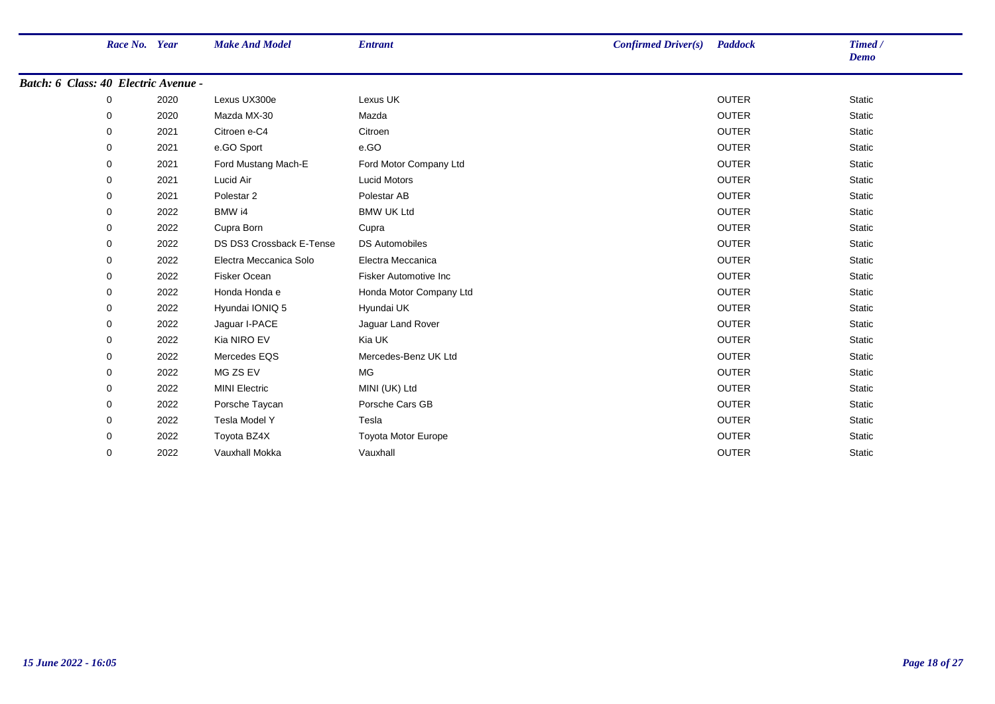|                                      | Race No. Year |      | <b>Make And Model</b>    | <b>Entrant</b>          | <b>Confirmed Driver(s)</b> Paddock |              | Timed /<br><b>Demo</b> |
|--------------------------------------|---------------|------|--------------------------|-------------------------|------------------------------------|--------------|------------------------|
| Batch: 6 Class: 40 Electric Avenue - |               |      |                          |                         |                                    |              |                        |
|                                      | 0             | 2020 | Lexus UX300e             | Lexus UK                |                                    | <b>OUTER</b> | <b>Static</b>          |
|                                      | 0             | 2020 | Mazda MX-30              | Mazda                   |                                    | <b>OUTER</b> | <b>Static</b>          |
|                                      | 0             | 2021 | Citroen e-C4             | Citroen                 |                                    | <b>OUTER</b> | <b>Static</b>          |
|                                      | 0             | 2021 | e.GO Sport               | e.GO                    |                                    | <b>OUTER</b> | Static                 |
|                                      | 0             | 2021 | Ford Mustang Mach-E      | Ford Motor Company Ltd  |                                    | <b>OUTER</b> | Static                 |
|                                      | 0             | 2021 | Lucid Air                | <b>Lucid Motors</b>     |                                    | <b>OUTER</b> | <b>Static</b>          |
|                                      | 0             | 2021 | Polestar <sub>2</sub>    | Polestar AB             |                                    | <b>OUTER</b> | <b>Static</b>          |
|                                      | 0             | 2022 | BMW i4                   | <b>BMW UK Ltd</b>       |                                    | <b>OUTER</b> | <b>Static</b>          |
|                                      | 0             | 2022 | Cupra Born               | Cupra                   |                                    | <b>OUTER</b> | Static                 |
|                                      | 0             | 2022 | DS DS3 Crossback E-Tense | <b>DS Automobiles</b>   |                                    | <b>OUTER</b> | Static                 |
|                                      | 0             | 2022 | Electra Meccanica Solo   | Electra Meccanica       |                                    | <b>OUTER</b> | Static                 |
|                                      | 0             | 2022 | <b>Fisker Ocean</b>      | Fisker Automotive Inc   |                                    | <b>OUTER</b> | <b>Static</b>          |
|                                      | 0             | 2022 | Honda Honda e            | Honda Motor Company Ltd |                                    | <b>OUTER</b> | <b>Static</b>          |
|                                      | 0             | 2022 | Hyundai IONIQ 5          | Hyundai UK              |                                    | <b>OUTER</b> | Static                 |
|                                      | 0             | 2022 | Jaguar I-PACE            | Jaguar Land Rover       |                                    | <b>OUTER</b> | Static                 |
|                                      | 0             | 2022 | Kia NIRO EV              | Kia UK                  |                                    | <b>OUTER</b> | Static                 |
|                                      | 0             | 2022 | Mercedes EQS             | Mercedes-Benz UK Ltd    |                                    | <b>OUTER</b> | <b>Static</b>          |
|                                      | 0             | 2022 | MG ZS EV                 | MG                      |                                    | <b>OUTER</b> | <b>Static</b>          |
|                                      | 0             | 2022 | <b>MINI Electric</b>     | MINI (UK) Ltd           |                                    | <b>OUTER</b> | Static                 |
|                                      | 0             | 2022 | Porsche Taycan           | Porsche Cars GB         |                                    | <b>OUTER</b> | Static                 |
|                                      | 0             | 2022 | Tesla Model Y            | Tesla                   |                                    | <b>OUTER</b> | Static                 |
|                                      | 0             | 2022 | Toyota BZ4X              | Toyota Motor Europe     |                                    | <b>OUTER</b> | <b>Static</b>          |
|                                      | 0             | 2022 | Vauxhall Mokka           | Vauxhall                |                                    | <b>OUTER</b> | <b>Static</b>          |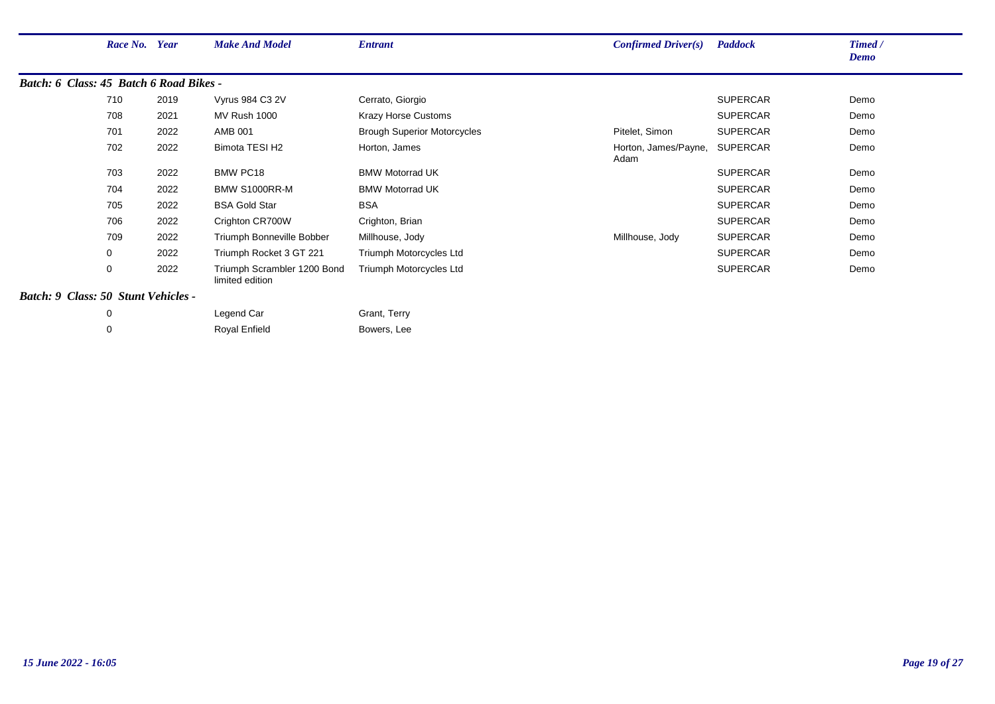|                                         | Race No. Year |      | <b>Make And Model</b>                          | <b>Entrant</b>                     | <b>Confirmed Driver(s)</b>   | <b>Paddock</b>  | Timed /<br><b>Demo</b> |
|-----------------------------------------|---------------|------|------------------------------------------------|------------------------------------|------------------------------|-----------------|------------------------|
| Batch: 6 Class: 45 Batch 6 Road Bikes - |               |      |                                                |                                    |                              |                 |                        |
|                                         | 710           | 2019 | Vyrus 984 C3 2V                                | Cerrato, Giorgio                   |                              | <b>SUPERCAR</b> | Demo                   |
|                                         | 708           | 2021 | <b>MV Rush 1000</b>                            | <b>Krazy Horse Customs</b>         |                              | <b>SUPERCAR</b> | Demo                   |
|                                         | 701           | 2022 | <b>AMB 001</b>                                 | <b>Brough Superior Motorcycles</b> | Pitelet, Simon               | <b>SUPERCAR</b> | Demo                   |
|                                         | 702           | 2022 | Bimota TESI H2                                 | Horton, James                      | Horton, James/Payne,<br>Adam | <b>SUPERCAR</b> | Demo                   |
|                                         | 703           | 2022 | <b>BMW PC18</b>                                | <b>BMW Motorrad UK</b>             |                              | <b>SUPERCAR</b> | Demo                   |
|                                         | 704           | 2022 | BMW S1000RR-M                                  | <b>BMW Motorrad UK</b>             |                              | <b>SUPERCAR</b> | Demo                   |
|                                         | 705           | 2022 | <b>BSA Gold Star</b>                           | <b>BSA</b>                         |                              | <b>SUPERCAR</b> | Demo                   |
|                                         | 706           | 2022 | Crighton CR700W                                | Crighton, Brian                    |                              | <b>SUPERCAR</b> | Demo                   |
|                                         | 709           | 2022 | Triumph Bonneville Bobber                      | Millhouse, Jody                    | Millhouse, Jody              | <b>SUPERCAR</b> | Demo                   |
|                                         | 0             | 2022 | Triumph Rocket 3 GT 221                        | Triumph Motorcycles Ltd            |                              | <b>SUPERCAR</b> | Demo                   |
|                                         | 0             | 2022 | Triumph Scrambler 1200 Bond<br>limited edition | Triumph Motorcycles Ltd            |                              | <b>SUPERCAR</b> | Demo                   |
| Batch: 9 Class: 50 Stunt Vehicles -     |               |      |                                                |                                    |                              |                 |                        |

| Legend Car    | Grant, Terry |
|---------------|--------------|
| Royal Enfield | Bowers, Lee  |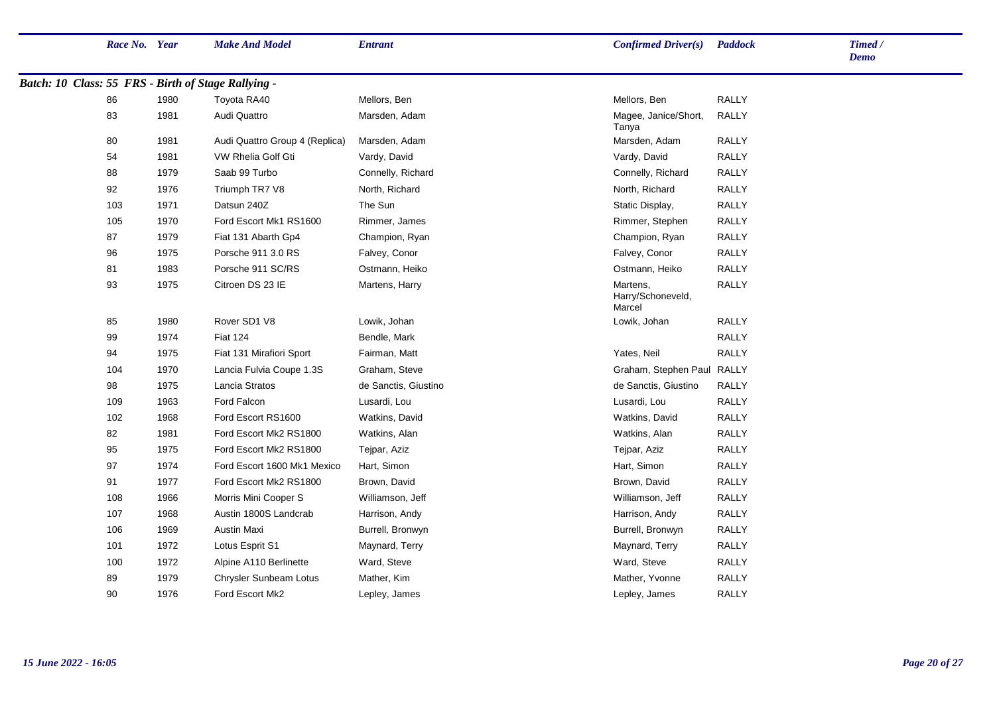|                                                     | Race No. Year |      | <b>Make And Model</b>          | <b>Entrant</b>       | Confirmed Driver(s)                     | <b>Paddock</b> | Timed /<br><b>Demo</b> |
|-----------------------------------------------------|---------------|------|--------------------------------|----------------------|-----------------------------------------|----------------|------------------------|
| Batch: 10 Class: 55 FRS - Birth of Stage Rallying - |               |      |                                |                      |                                         |                |                        |
|                                                     | 86            | 1980 | Toyota RA40                    | Mellors, Ben         | Mellors, Ben                            | <b>RALLY</b>   |                        |
|                                                     | 83            | 1981 | Audi Quattro                   | Marsden, Adam        | Magee, Janice/Short,<br>Tanya           | <b>RALLY</b>   |                        |
|                                                     | 80            | 1981 | Audi Quattro Group 4 (Replica) | Marsden, Adam        | Marsden, Adam                           | <b>RALLY</b>   |                        |
|                                                     | 54            | 1981 | VW Rhelia Golf Gti             | Vardy, David         | Vardy, David                            | <b>RALLY</b>   |                        |
|                                                     | 88            | 1979 | Saab 99 Turbo                  | Connelly, Richard    | Connelly, Richard                       | <b>RALLY</b>   |                        |
|                                                     | 92            | 1976 | Triumph TR7 V8                 | North, Richard       | North, Richard                          | <b>RALLY</b>   |                        |
|                                                     | 103           | 1971 | Datsun 240Z                    | The Sun              | Static Display,                         | <b>RALLY</b>   |                        |
|                                                     | 105           | 1970 | Ford Escort Mk1 RS1600         | Rimmer, James        | Rimmer, Stephen                         | <b>RALLY</b>   |                        |
|                                                     | 87            | 1979 | Fiat 131 Abarth Gp4            | Champion, Ryan       | Champion, Ryan                          | <b>RALLY</b>   |                        |
|                                                     | 96            | 1975 | Porsche 911 3.0 RS             | Falvey, Conor        | Falvey, Conor                           | <b>RALLY</b>   |                        |
|                                                     | 81            | 1983 | Porsche 911 SC/RS              | Ostmann, Heiko       | Ostmann, Heiko                          | <b>RALLY</b>   |                        |
|                                                     | 93            | 1975 | Citroen DS 23 IE               | Martens, Harry       | Martens,<br>Harry/Schoneveld,<br>Marcel | <b>RALLY</b>   |                        |
|                                                     | 85            | 1980 | Rover SD1 V8                   | Lowik, Johan         | Lowik, Johan                            | <b>RALLY</b>   |                        |
|                                                     | 99            | 1974 | <b>Fiat 124</b>                | Bendle, Mark         |                                         | <b>RALLY</b>   |                        |
|                                                     | 94            | 1975 | Fiat 131 Mirafiori Sport       | Fairman, Matt        | Yates, Neil                             | <b>RALLY</b>   |                        |
|                                                     | 104           | 1970 | Lancia Fulvia Coupe 1.3S       | Graham, Steve        | Graham, Stephen Paul                    | <b>RALLY</b>   |                        |
|                                                     | 98            | 1975 | Lancia Stratos                 | de Sanctis, Giustino | de Sanctis, Giustino                    | <b>RALLY</b>   |                        |
|                                                     | 109           | 1963 | Ford Falcon                    | Lusardi, Lou         | Lusardi, Lou                            | <b>RALLY</b>   |                        |
|                                                     | 102           | 1968 | Ford Escort RS1600             | Watkins, David       | Watkins, David                          | <b>RALLY</b>   |                        |
|                                                     | 82            | 1981 | Ford Escort Mk2 RS1800         | Watkins, Alan        | Watkins, Alan                           | <b>RALLY</b>   |                        |
|                                                     | 95            | 1975 | Ford Escort Mk2 RS1800         | Tejpar, Aziz         | Tejpar, Aziz                            | <b>RALLY</b>   |                        |
|                                                     | 97            | 1974 | Ford Escort 1600 Mk1 Mexico    | Hart, Simon          | Hart, Simon                             | <b>RALLY</b>   |                        |
|                                                     | 91            | 1977 | Ford Escort Mk2 RS1800         | Brown, David         | Brown, David                            | <b>RALLY</b>   |                        |
|                                                     | 108           | 1966 | Morris Mini Cooper S           | Williamson, Jeff     | Williamson, Jeff                        | <b>RALLY</b>   |                        |
|                                                     | 107           | 1968 | Austin 1800S Landcrab          | Harrison, Andy       | Harrison, Andy                          | <b>RALLY</b>   |                        |
|                                                     | 106           | 1969 | <b>Austin Maxi</b>             | Burrell, Bronwyn     | Burrell, Bronwyn                        | <b>RALLY</b>   |                        |
|                                                     | 101           | 1972 | Lotus Esprit S1                | Maynard, Terry       | Maynard, Terry                          | <b>RALLY</b>   |                        |
|                                                     | 100           | 1972 | Alpine A110 Berlinette         | Ward, Steve          | Ward, Steve                             | <b>RALLY</b>   |                        |
|                                                     | 89            | 1979 | Chrysler Sunbeam Lotus         | Mather, Kim          | Mather, Yvonne                          | <b>RALLY</b>   |                        |
|                                                     | 90            | 1976 | Ford Escort Mk2                | Lepley, James        | Lepley, James                           | <b>RALLY</b>   |                        |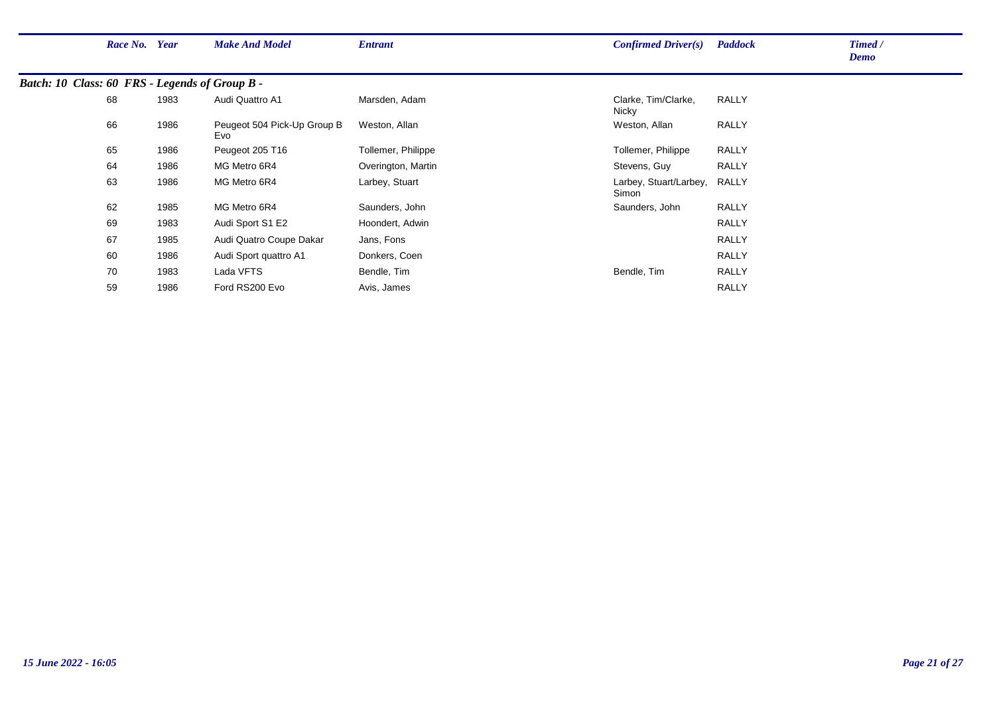|                                                | Race No. Year |      | <b>Make And Model</b>              | <b>Entrant</b>     | Confirmed Driver(s)             | <b>Paddock</b> | Timed /<br>Demo |
|------------------------------------------------|---------------|------|------------------------------------|--------------------|---------------------------------|----------------|-----------------|
| Batch: 10 Class: 60 FRS - Legends of Group B - |               |      |                                    |                    |                                 |                |                 |
|                                                | 68            | 1983 | Audi Quattro A1                    | Marsden, Adam      | Clarke, Tim/Clarke,<br>Nicky    | <b>RALLY</b>   |                 |
|                                                | 66            | 1986 | Peugeot 504 Pick-Up Group B<br>Evo | Weston, Allan      | Weston, Allan                   | <b>RALLY</b>   |                 |
|                                                | 65            | 1986 | Peugeot 205 T16                    | Tollemer, Philippe | Tollemer, Philippe              | <b>RALLY</b>   |                 |
|                                                | 64            | 1986 | MG Metro 6R4                       | Overington, Martin | Stevens, Guy                    | <b>RALLY</b>   |                 |
|                                                | 63            | 1986 | MG Metro 6R4                       | Larbey, Stuart     | Larbey, Stuart/Larbey,<br>Simon | RALLY          |                 |
|                                                | 62            | 1985 | MG Metro 6R4                       | Saunders, John     | Saunders, John                  | <b>RALLY</b>   |                 |
|                                                | 69            | 1983 | Audi Sport S1 E2                   | Hoondert, Adwin    |                                 | <b>RALLY</b>   |                 |
|                                                | 67            | 1985 | Audi Quatro Coupe Dakar            | Jans, Fons         |                                 | <b>RALLY</b>   |                 |
|                                                | 60            | 1986 | Audi Sport quattro A1              | Donkers, Coen      |                                 | <b>RALLY</b>   |                 |
|                                                | 70            | 1983 | Lada VFTS                          | Bendle, Tim        | Bendle, Tim                     | <b>RALLY</b>   |                 |
|                                                | 59            | 1986 | Ford RS200 Evo                     | Avis, James        |                                 | <b>RALLY</b>   |                 |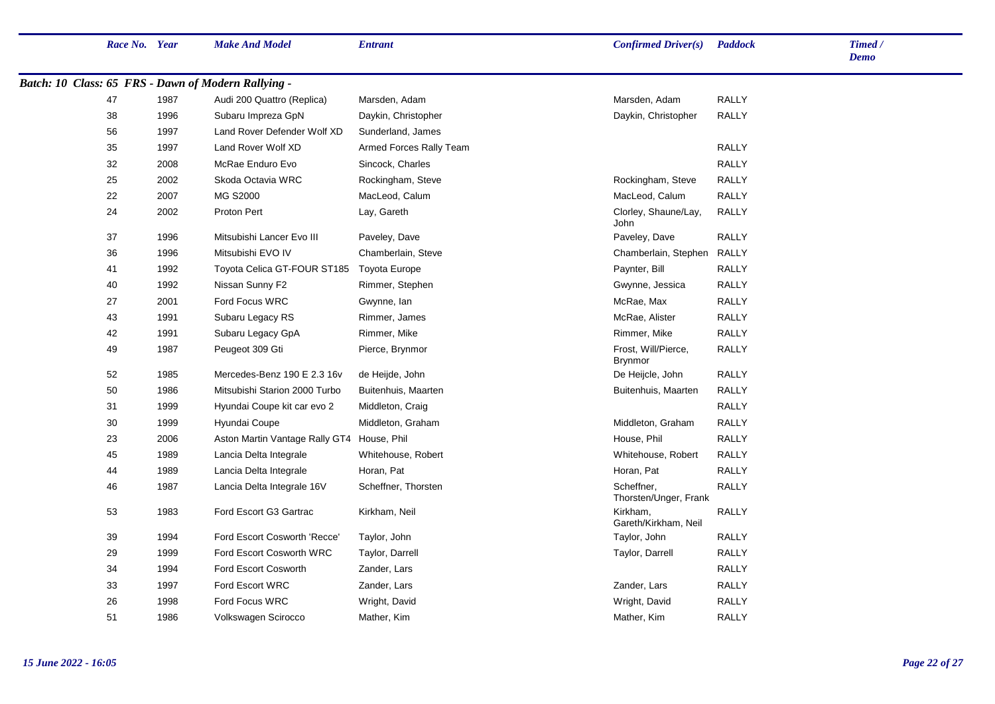| Race No. Year |      | <b>Make And Model</b>                               | <b>Entrant</b>          | Confirmed Driver(s)                   | <b>Paddock</b> | Timed /<br><b>Demo</b> |
|---------------|------|-----------------------------------------------------|-------------------------|---------------------------------------|----------------|------------------------|
|               |      | Batch: 10 Class: 65 FRS - Dawn of Modern Rallying - |                         |                                       |                |                        |
| 47            | 1987 | Audi 200 Quattro (Replica)                          | Marsden, Adam           | Marsden, Adam                         | <b>RALLY</b>   |                        |
| 38            | 1996 | Subaru Impreza GpN                                  | Daykin, Christopher     | Daykin, Christopher                   | <b>RALLY</b>   |                        |
| 56            | 1997 | Land Rover Defender Wolf XD                         | Sunderland, James       |                                       |                |                        |
| 35            | 1997 | Land Rover Wolf XD                                  | Armed Forces Rally Team |                                       | <b>RALLY</b>   |                        |
| 32            | 2008 | McRae Enduro Evo                                    | Sincock, Charles        |                                       | <b>RALLY</b>   |                        |
| 25            | 2002 | Skoda Octavia WRC                                   | Rockingham, Steve       | Rockingham, Steve                     | <b>RALLY</b>   |                        |
| 22            | 2007 | MG S2000                                            | MacLeod, Calum          | MacLeod, Calum                        | <b>RALLY</b>   |                        |
| 24            | 2002 | Proton Pert                                         | Lay, Gareth             | Clorley, Shaune/Lay,<br><b>John</b>   | <b>RALLY</b>   |                        |
| 37            | 1996 | Mitsubishi Lancer Evo III                           | Paveley, Dave           | Paveley, Dave                         | <b>RALLY</b>   |                        |
| 36            | 1996 | Mitsubishi EVO IV                                   | Chamberlain, Steve      | Chamberlain, Stephen                  | RALLY          |                        |
| 41            | 1992 | Toyota Celica GT-FOUR ST185                         | Toyota Europe           | Paynter, Bill                         | <b>RALLY</b>   |                        |
| 40            | 1992 | Nissan Sunny F2                                     | Rimmer, Stephen         | Gwynne, Jessica                       | <b>RALLY</b>   |                        |
| 27            | 2001 | Ford Focus WRC                                      | Gwynne, Ian             | McRae, Max                            | <b>RALLY</b>   |                        |
| 43            | 1991 | Subaru Legacy RS                                    | Rimmer, James           | McRae, Alister                        | <b>RALLY</b>   |                        |
| 42            | 1991 | Subaru Legacy GpA                                   | Rimmer, Mike            | Rimmer, Mike                          | <b>RALLY</b>   |                        |
| 49            | 1987 | Peugeot 309 Gti                                     | Pierce, Brynmor         | Frost, Will/Pierce,<br><b>Brynmor</b> | <b>RALLY</b>   |                        |
| 52            | 1985 | Mercedes-Benz 190 E 2.3 16v                         | de Heijde, John         | De Heijcle, John                      | <b>RALLY</b>   |                        |
| 50            | 1986 | Mitsubishi Starion 2000 Turbo                       | Buitenhuis, Maarten     | Buitenhuis, Maarten                   | <b>RALLY</b>   |                        |
| 31            | 1999 | Hyundai Coupe kit car evo 2                         | Middleton, Craig        |                                       | <b>RALLY</b>   |                        |
| 30            | 1999 | Hyundai Coupe                                       | Middleton, Graham       | Middleton, Graham                     | <b>RALLY</b>   |                        |
| 23            | 2006 | Aston Martin Vantage Rally GT4 House, Phil          |                         | House, Phil                           | <b>RALLY</b>   |                        |
| 45            | 1989 | Lancia Delta Integrale                              | Whitehouse, Robert      | Whitehouse, Robert                    | RALLY          |                        |
| 44            | 1989 | Lancia Delta Integrale                              | Horan, Pat              | Horan, Pat                            | <b>RALLY</b>   |                        |
| 46            | 1987 | Lancia Delta Integrale 16V                          | Scheffner, Thorsten     | Scheffner,<br>Thorsten/Unger, Frank   | RALLY          |                        |
| 53            | 1983 | Ford Escort G3 Gartrac                              | Kirkham, Neil           | Kirkham.<br>Gareth/Kirkham, Neil      | <b>RALLY</b>   |                        |
| 39            | 1994 | Ford Escort Cosworth 'Recce'                        | Taylor, John            | Taylor, John                          | <b>RALLY</b>   |                        |
| 29            | 1999 | Ford Escort Cosworth WRC                            | Taylor, Darrell         | Taylor, Darrell                       | <b>RALLY</b>   |                        |
| 34            | 1994 | Ford Escort Cosworth                                | Zander, Lars            |                                       | <b>RALLY</b>   |                        |
| 33            | 1997 | Ford Escort WRC                                     | Zander, Lars            | Zander, Lars                          | <b>RALLY</b>   |                        |
| 26            | 1998 | Ford Focus WRC                                      | Wright, David           | Wright, David                         | <b>RALLY</b>   |                        |
| 51            | 1986 | Volkswagen Scirocco                                 | Mather, Kim             | Mather, Kim                           | <b>RALLY</b>   |                        |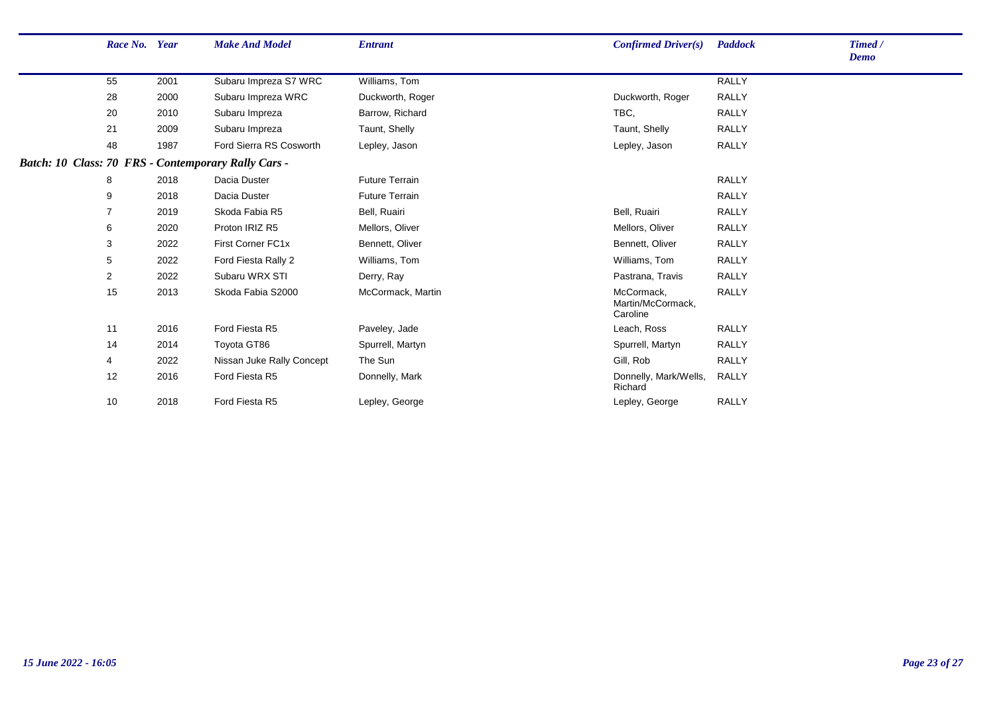| Race No. Year  |      | <b>Make And Model</b>                               | <b>Entrant</b>        | Confirmed Driver(s)                         | <b>Paddock</b> | Timed /<br><b>Demo</b> |
|----------------|------|-----------------------------------------------------|-----------------------|---------------------------------------------|----------------|------------------------|
| 55             | 2001 | Subaru Impreza S7 WRC                               | Williams, Tom         |                                             | <b>RALLY</b>   |                        |
| 28             | 2000 | Subaru Impreza WRC                                  | Duckworth, Roger      | Duckworth, Roger                            | RALLY          |                        |
| 20             | 2010 | Subaru Impreza                                      | Barrow, Richard       | TBC,                                        | RALLY          |                        |
| 21             | 2009 | Subaru Impreza                                      | Taunt, Shelly         | Taunt, Shelly                               | <b>RALLY</b>   |                        |
| 48             | 1987 | Ford Sierra RS Cosworth                             | Lepley, Jason         | Lepley, Jason                               | <b>RALLY</b>   |                        |
|                |      | Batch: 10 Class: 70 FRS - Contemporary Rally Cars - |                       |                                             |                |                        |
| 8              | 2018 | Dacia Duster                                        | <b>Future Terrain</b> |                                             | <b>RALLY</b>   |                        |
| 9              | 2018 | Dacia Duster                                        | <b>Future Terrain</b> |                                             | <b>RALLY</b>   |                        |
| 7              | 2019 | Skoda Fabia R5                                      | Bell, Ruairi          | Bell, Ruairi                                | <b>RALLY</b>   |                        |
| 6              | 2020 | Proton IRIZ R5                                      | Mellors, Oliver       | Mellors, Oliver                             | RALLY          |                        |
| 3              | 2022 | First Corner FC1x                                   | Bennett, Oliver       | Bennett, Oliver                             | <b>RALLY</b>   |                        |
| 5              | 2022 | Ford Fiesta Rally 2                                 | Williams, Tom         | Williams, Tom                               | <b>RALLY</b>   |                        |
| $\overline{2}$ | 2022 | Subaru WRX STI                                      | Derry, Ray            | Pastrana, Travis                            | <b>RALLY</b>   |                        |
| 15             | 2013 | Skoda Fabia S2000                                   | McCormack, Martin     | McCormack,<br>Martin/McCormack,<br>Caroline | <b>RALLY</b>   |                        |
| 11             | 2016 | Ford Fiesta R5                                      | Paveley, Jade         | Leach, Ross                                 | RALLY          |                        |
| 14             | 2014 | Toyota GT86                                         | Spurrell, Martyn      | Spurrell, Martyn                            | <b>RALLY</b>   |                        |
| 4              | 2022 | Nissan Juke Rally Concept                           | The Sun               | Gill, Rob                                   | <b>RALLY</b>   |                        |
| 12             | 2016 | Ford Fiesta R5                                      | Donnelly, Mark        | Donnelly, Mark/Wells,<br>Richard            | RALLY          |                        |
| 10             | 2018 | Ford Fiesta R5                                      | Lepley, George        | Lepley, George                              | <b>RALLY</b>   |                        |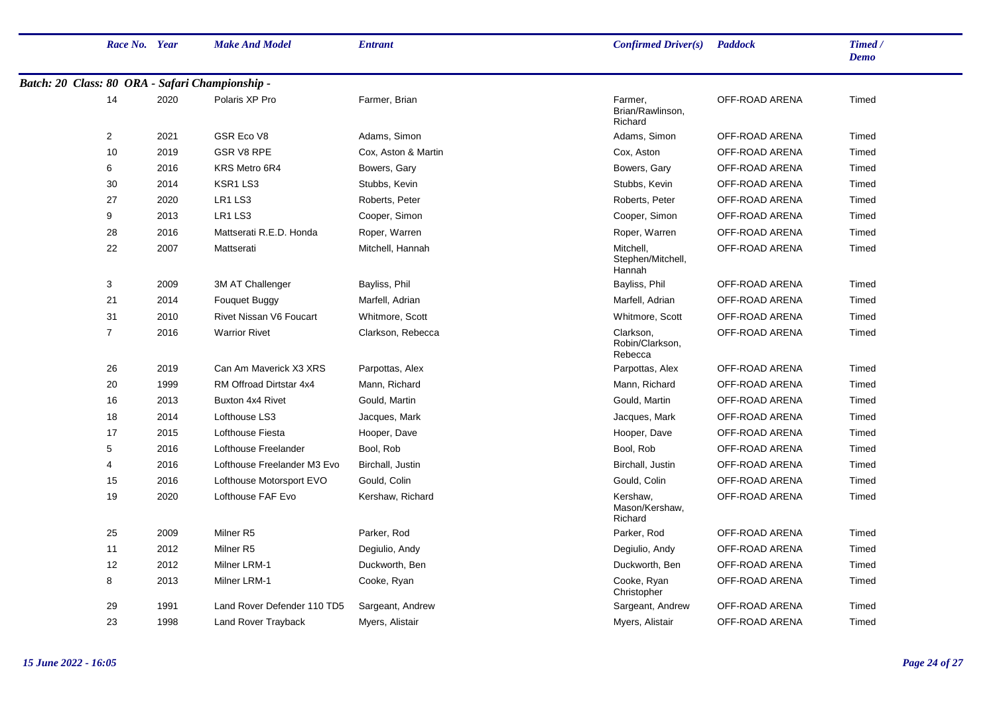|                                                 | Race No. Year  |      | <b>Make And Model</b>       | <b>Entrant</b>      | Confirmed Driver(s)                      | <b>Paddock</b> | Timed /<br><b>Demo</b> |
|-------------------------------------------------|----------------|------|-----------------------------|---------------------|------------------------------------------|----------------|------------------------|
| Batch: 20 Class: 80 ORA - Safari Championship - |                |      |                             |                     |                                          |                |                        |
|                                                 | 14             | 2020 | Polaris XP Pro              | Farmer, Brian       | Farmer,<br>Brian/Rawlinson,<br>Richard   | OFF-ROAD ARENA | Timed                  |
|                                                 | $\overline{2}$ | 2021 | GSR Eco V8                  | Adams, Simon        | Adams, Simon                             | OFF-ROAD ARENA | Timed                  |
|                                                 | 10             | 2019 | <b>GSR V8 RPE</b>           | Cox, Aston & Martin | Cox, Aston                               | OFF-ROAD ARENA | Timed                  |
|                                                 | 6              | 2016 | KRS Metro 6R4               | Bowers, Gary        | Bowers, Gary                             | OFF-ROAD ARENA | Timed                  |
|                                                 | 30             | 2014 | KSR1 LS3                    | Stubbs, Kevin       | Stubbs, Kevin                            | OFF-ROAD ARENA | Timed                  |
|                                                 | 27             | 2020 | LR1 LS3                     | Roberts, Peter      | Roberts, Peter                           | OFF-ROAD ARENA | Timed                  |
|                                                 | 9              | 2013 | LR1 LS3                     | Cooper, Simon       | Cooper, Simon                            | OFF-ROAD ARENA | Timed                  |
|                                                 | 28             | 2016 | Mattserati R.E.D. Honda     | Roper, Warren       | Roper, Warren                            | OFF-ROAD ARENA | Timed                  |
|                                                 | 22             | 2007 | Mattserati                  | Mitchell, Hannah    | Mitchell,<br>Stephen/Mitchell,<br>Hannah | OFF-ROAD ARENA | Timed                  |
|                                                 | 3              | 2009 | 3M AT Challenger            | Bayliss, Phil       | Bayliss, Phil                            | OFF-ROAD ARENA | Timed                  |
|                                                 | 21             | 2014 | Fouquet Buggy               | Marfell, Adrian     | Marfell, Adrian                          | OFF-ROAD ARENA | Timed                  |
|                                                 | 31             | 2010 | Rivet Nissan V6 Foucart     | Whitmore, Scott     | Whitmore, Scott                          | OFF-ROAD ARENA | Timed                  |
|                                                 | $\overline{7}$ | 2016 | <b>Warrior Rivet</b>        | Clarkson, Rebecca   | Clarkson,<br>Robin/Clarkson,<br>Rebecca  | OFF-ROAD ARENA | Timed                  |
|                                                 | 26             | 2019 | Can Am Maverick X3 XRS      | Parpottas, Alex     | Parpottas, Alex                          | OFF-ROAD ARENA | Timed                  |
|                                                 | 20             | 1999 | RM Offroad Dirtstar 4x4     | Mann, Richard       | Mann, Richard                            | OFF-ROAD ARENA | Timed                  |
|                                                 | 16             | 2013 | <b>Buxton 4x4 Rivet</b>     | Gould, Martin       | Gould, Martin                            | OFF-ROAD ARENA | Timed                  |
|                                                 | 18             | 2014 | Lofthouse LS3               | Jacques, Mark       | Jacques, Mark                            | OFF-ROAD ARENA | Timed                  |
|                                                 | 17             | 2015 | Lofthouse Fiesta            | Hooper, Dave        | Hooper, Dave                             | OFF-ROAD ARENA | Timed                  |
|                                                 | 5              | 2016 | Lofthouse Freelander        | Bool, Rob           | Bool, Rob                                | OFF-ROAD ARENA | Timed                  |
|                                                 | 4              | 2016 | Lofthouse Freelander M3 Evo | Birchall, Justin    | Birchall, Justin                         | OFF-ROAD ARENA | Timed                  |
|                                                 | 15             | 2016 | Lofthouse Motorsport EVO    | Gould, Colin        | Gould, Colin                             | OFF-ROAD ARENA | Timed                  |
|                                                 | 19             | 2020 | Lofthouse FAF Evo           | Kershaw, Richard    | Kershaw,<br>Mason/Kershaw,<br>Richard    | OFF-ROAD ARENA | Timed                  |
|                                                 | 25             | 2009 | Milner <sub>R5</sub>        | Parker, Rod         | Parker, Rod                              | OFF-ROAD ARENA | Timed                  |
|                                                 | 11             | 2012 | Milner <sub>R5</sub>        | Degiulio, Andy      | Degiulio, Andy                           | OFF-ROAD ARENA | Timed                  |
|                                                 | 12             | 2012 | Milner LRM-1                | Duckworth, Ben      | Duckworth, Ben                           | OFF-ROAD ARENA | Timed                  |
|                                                 | 8              | 2013 | Milner LRM-1                | Cooke, Ryan         | Cooke, Ryan<br>Christopher               | OFF-ROAD ARENA | Timed                  |
|                                                 | 29             | 1991 | Land Rover Defender 110 TD5 | Sargeant, Andrew    | Sargeant, Andrew                         | OFF-ROAD ARENA | Timed                  |
|                                                 | 23             | 1998 | Land Rover Trayback         | Myers, Alistair     | Myers, Alistair                          | OFF-ROAD ARENA | Timed                  |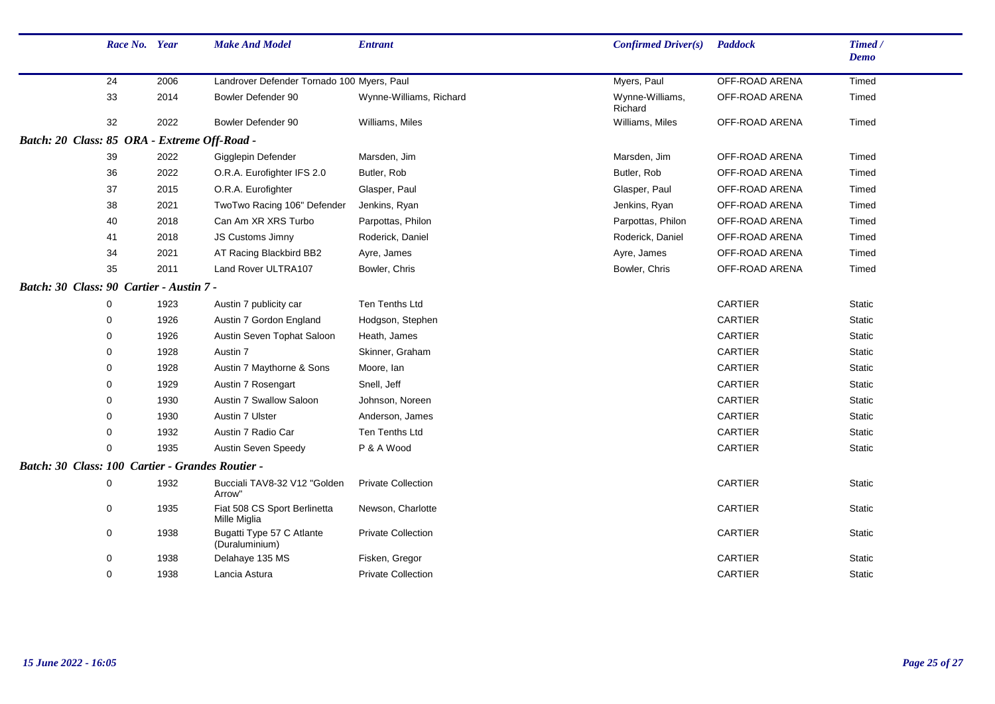|                                                  | Race No. Year |      | <b>Make And Model</b>                        | <b>Entrant</b>            | Confirmed Driver(s)        | <b>Paddock</b> | Timed /<br><b>Demo</b> |  |
|--------------------------------------------------|---------------|------|----------------------------------------------|---------------------------|----------------------------|----------------|------------------------|--|
|                                                  | 24            | 2006 | Landrover Defender Tornado 100 Myers, Paul   |                           | Myers, Paul                | OFF-ROAD ARENA | Timed                  |  |
|                                                  | 33            | 2014 | Bowler Defender 90                           | Wynne-Williams, Richard   | Wynne-Williams,<br>Richard | OFF-ROAD ARENA | Timed                  |  |
|                                                  | 32            | 2022 | Bowler Defender 90                           | Williams, Miles           | Williams, Miles            | OFF-ROAD ARENA | Timed                  |  |
| Batch: 20 Class: 85 ORA - Extreme Off-Road -     |               |      |                                              |                           |                            |                |                        |  |
|                                                  | 39            | 2022 | Gigglepin Defender                           | Marsden, Jim              | Marsden, Jim               | OFF-ROAD ARENA | Timed                  |  |
|                                                  | 36            | 2022 | O.R.A. Eurofighter IFS 2.0                   | Butler, Rob               | Butler, Rob                | OFF-ROAD ARENA | Timed                  |  |
|                                                  | 37            | 2015 | O.R.A. Eurofighter                           | Glasper, Paul             | Glasper, Paul              | OFF-ROAD ARENA | Timed                  |  |
|                                                  | 38            | 2021 | TwoTwo Racing 106" Defender                  | Jenkins, Ryan             | Jenkins, Ryan              | OFF-ROAD ARENA | Timed                  |  |
|                                                  | 40            | 2018 | Can Am XR XRS Turbo                          | Parpottas, Philon         | Parpottas, Philon          | OFF-ROAD ARENA | Timed                  |  |
|                                                  | 41            | 2018 | JS Customs Jimny                             | Roderick, Daniel          | Roderick, Daniel           | OFF-ROAD ARENA | Timed                  |  |
|                                                  | 34            | 2021 | AT Racing Blackbird BB2                      | Ayre, James               | Ayre, James                | OFF-ROAD ARENA | Timed                  |  |
|                                                  | 35            | 2011 | Land Rover ULTRA107                          | Bowler, Chris             | Bowler, Chris              | OFF-ROAD ARENA | Timed                  |  |
| Batch: 30 Class: 90 Cartier - Austin 7 -         |               |      |                                              |                           |                            |                |                        |  |
|                                                  | 0             | 1923 | Austin 7 publicity car                       | Ten Tenths Ltd            |                            | <b>CARTIER</b> | <b>Static</b>          |  |
|                                                  | $\Omega$      | 1926 | Austin 7 Gordon England                      | Hodgson, Stephen          |                            | <b>CARTIER</b> | Static                 |  |
|                                                  | 0             | 1926 | Austin Seven Tophat Saloon                   | Heath, James              |                            | CARTIER        | <b>Static</b>          |  |
|                                                  | 0             | 1928 | Austin 7                                     | Skinner, Graham           |                            | CARTIER        | Static                 |  |
|                                                  | 0             | 1928 | Austin 7 Maythorne & Sons                    | Moore, lan                |                            | <b>CARTIER</b> | Static                 |  |
|                                                  | 0             | 1929 | Austin 7 Rosengart                           | Snell, Jeff               |                            | <b>CARTIER</b> | <b>Static</b>          |  |
|                                                  | 0             | 1930 | Austin 7 Swallow Saloon                      | Johnson, Noreen           |                            | CARTIER        | <b>Static</b>          |  |
|                                                  | 0             | 1930 | Austin 7 Ulster                              | Anderson, James           |                            | <b>CARTIER</b> | Static                 |  |
|                                                  | 0             | 1932 | Austin 7 Radio Car                           | Ten Tenths Ltd            |                            | CARTIER        | <b>Static</b>          |  |
|                                                  | 0             | 1935 | <b>Austin Seven Speedy</b>                   | P & A Wood                |                            | CARTIER        | Static                 |  |
| Batch: 30 Class: 100 Cartier - Grandes Routier - |               |      |                                              |                           |                            |                |                        |  |
|                                                  | 0             | 1932 | Bucciali TAV8-32 V12 "Golden<br>Arrow"       | <b>Private Collection</b> |                            | <b>CARTIER</b> | <b>Static</b>          |  |
|                                                  | 0             | 1935 | Fiat 508 CS Sport Berlinetta<br>Mille Miglia | Newson, Charlotte         |                            | <b>CARTIER</b> | Static                 |  |
|                                                  | 0             | 1938 | Bugatti Type 57 C Atlante<br>(Duraluminium)  | <b>Private Collection</b> |                            | CARTIER        | <b>Static</b>          |  |
|                                                  | 0             | 1938 | Delahaye 135 MS                              | Fisken, Gregor            |                            | CARTIER        | <b>Static</b>          |  |
|                                                  | 0             | 1938 | Lancia Astura                                | <b>Private Collection</b> |                            | <b>CARTIER</b> | <b>Static</b>          |  |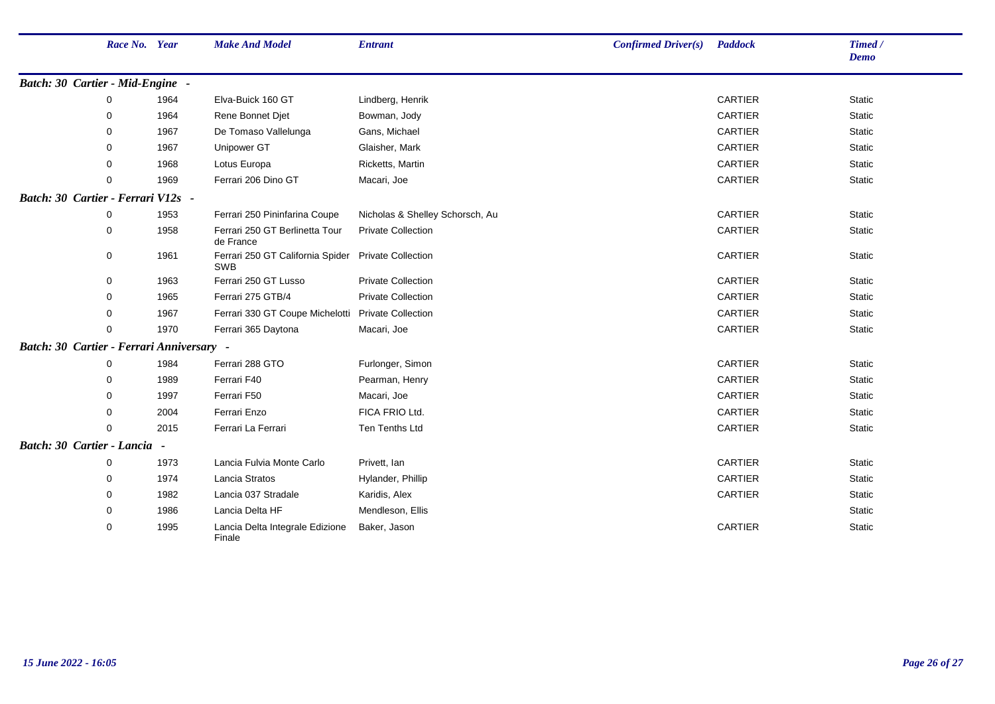|                                           | Race No. Year |      | <b>Make And Model</b>                                      | <b>Entrant</b>                  | $Confirmed$ Driver $(s)$ | <b>Paddock</b> | Timed/<br><b>Demo</b> |  |
|-------------------------------------------|---------------|------|------------------------------------------------------------|---------------------------------|--------------------------|----------------|-----------------------|--|
| Batch: 30 Cartier - Mid-Engine -          |               |      |                                                            |                                 |                          |                |                       |  |
|                                           | 0             | 1964 | Elva-Buick 160 GT                                          | Lindberg, Henrik                |                          | <b>CARTIER</b> | Static                |  |
|                                           | 0             | 1964 | Rene Bonnet Djet                                           | Bowman, Jody                    |                          | <b>CARTIER</b> | Static                |  |
|                                           | 0             | 1967 | De Tomaso Vallelunga                                       | Gans, Michael                   |                          | <b>CARTIER</b> | Static                |  |
|                                           | 0             | 1967 | Unipower GT                                                | Glaisher, Mark                  |                          | CARTIER        | Static                |  |
|                                           | 0             | 1968 | Lotus Europa                                               | Ricketts, Martin                |                          | CARTIER        | Static                |  |
|                                           | $\Omega$      | 1969 | Ferrari 206 Dino GT                                        | Macari, Joe                     |                          | <b>CARTIER</b> | <b>Static</b>         |  |
| Batch: 30 Cartier - Ferrari V12s -        |               |      |                                                            |                                 |                          |                |                       |  |
|                                           | $\Omega$      | 1953 | Ferrari 250 Pininfarina Coupe                              | Nicholas & Shelley Schorsch, Au |                          | CARTIER        | <b>Static</b>         |  |
|                                           | $\mathbf 0$   | 1958 | Ferrari 250 GT Berlinetta Tour<br>de France                | <b>Private Collection</b>       |                          | CARTIER        | <b>Static</b>         |  |
|                                           | 0             | 1961 | Ferrari 250 GT California Spider Private Collection<br>SWB |                                 |                          | CARTIER        | <b>Static</b>         |  |
|                                           | 0             | 1963 | Ferrari 250 GT Lusso                                       | <b>Private Collection</b>       |                          | <b>CARTIER</b> | <b>Static</b>         |  |
|                                           | 0             | 1965 | Ferrari 275 GTB/4                                          | <b>Private Collection</b>       |                          | <b>CARTIER</b> | Static                |  |
|                                           | 0             | 1967 | Ferrari 330 GT Coupe Michelotti Private Collection         |                                 |                          | <b>CARTIER</b> | Static                |  |
|                                           | $\Omega$      | 1970 | Ferrari 365 Daytona                                        | Macari, Joe                     |                          | <b>CARTIER</b> | Static                |  |
| Batch: 30 Cartier - Ferrari Anniversary - |               |      |                                                            |                                 |                          |                |                       |  |
|                                           | 0             | 1984 | Ferrari 288 GTO                                            | Furlonger, Simon                |                          | CARTIER        | <b>Static</b>         |  |
|                                           | 0             | 1989 | Ferrari F40                                                | Pearman, Henry                  |                          | CARTIER        | <b>Static</b>         |  |
|                                           | 0             | 1997 | Ferrari F50                                                | Macari, Joe                     |                          | <b>CARTIER</b> | Static                |  |
|                                           | 0             | 2004 | Ferrari Enzo                                               | FICA FRIO Ltd.                  |                          | CARTIER        | Static                |  |
|                                           | $\Omega$      | 2015 | Ferrari La Ferrari                                         | <b>Ten Tenths Ltd</b>           |                          | <b>CARTIER</b> | <b>Static</b>         |  |
| Batch: 30 Cartier - Lancia -              |               |      |                                                            |                                 |                          |                |                       |  |
|                                           | 0             | 1973 | Lancia Fulvia Monte Carlo                                  | Privett, Ian                    |                          | <b>CARTIER</b> | Static                |  |
|                                           | 0             | 1974 | Lancia Stratos                                             | Hylander, Phillip               |                          | <b>CARTIER</b> | Static                |  |
|                                           | 0             | 1982 | Lancia 037 Stradale                                        | Karidis, Alex                   |                          | CARTIER        | Static                |  |
|                                           | 0             | 1986 | Lancia Delta HF                                            | Mendleson, Ellis                |                          |                | <b>Static</b>         |  |
|                                           | 0             | 1995 | Lancia Delta Integrale Edizione<br>Finale                  | Baker, Jason                    |                          | CARTIER        | Static                |  |